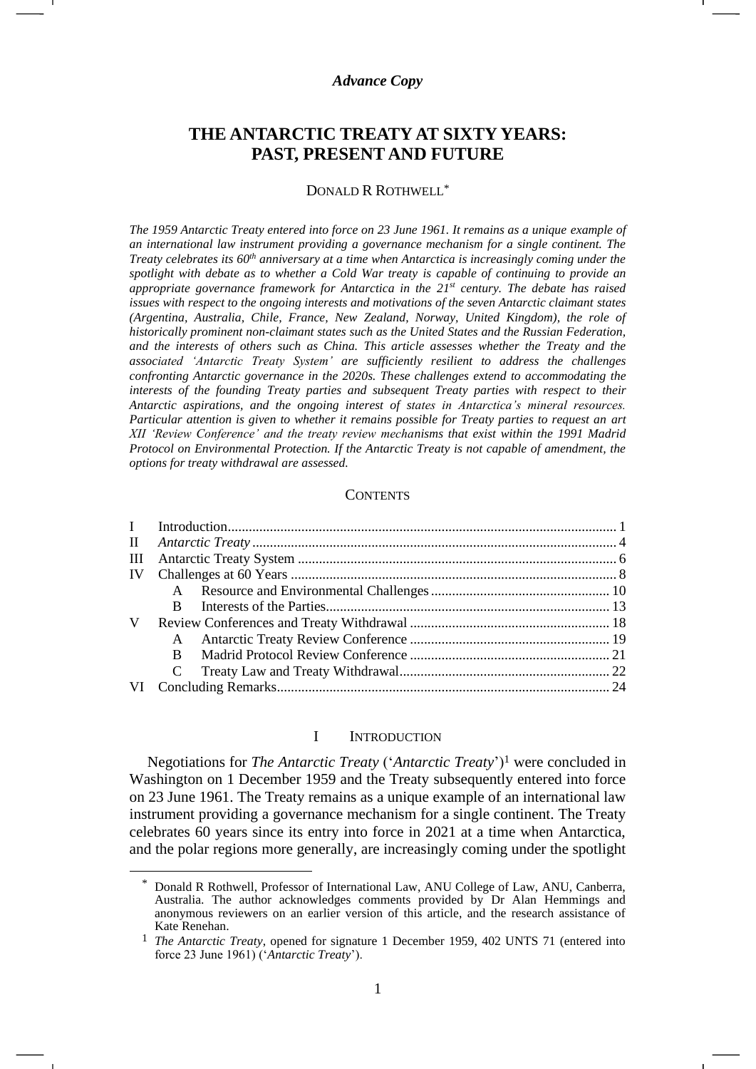## *Advance Copy*

# **THE ANTARCTIC TREATY AT SIXTY YEARS: PAST, PRESENT AND FUTURE**

#### DONALD R ROTHWELL\*

*The 1959 Antarctic Treaty entered into force on 23 June 1961. It remains as a unique example of an international law instrument providing a governance mechanism for a single continent. The Treaty celebrates its 60th anniversary at a time when Antarctica is increasingly coming under the spotlight with debate as to whether a Cold War treaty is capable of continuing to provide an appropriate governance framework for Antarctica in the 21st century. The debate has raised issues with respect to the ongoing interests and motivations of the seven Antarctic claimant states (Argentina, Australia, Chile, France, New Zealand, Norway, United Kingdom), the role of historically prominent non-claimant states such as the United States and the Russian Federation, and the interests of others such as China. This article assesses whether the Treaty and the associated 'Antarctic Treaty System' are sufficiently resilient to address the challenges confronting Antarctic governance in the 2020s. These challenges extend to accommodating the interests of the founding Treaty parties and subsequent Treaty parties with respect to their Antarctic aspirations, and the ongoing interest of states in Antarctica's mineral resources. Particular attention is given to whether it remains possible for Treaty parties to request an art XII 'Review Conference' and the treaty review mechanisms that exist within the 1991 Madrid Protocol on Environmental Protection. If the Antarctic Treaty is not capable of amendment, the options for treaty withdrawal are assessed.*

#### **CONTENTS**

| $\mathbf{I}$ |              |  |  |  |  |
|--------------|--------------|--|--|--|--|
| $\mathbf{H}$ |              |  |  |  |  |
| Ш            |              |  |  |  |  |
| IV           |              |  |  |  |  |
|              | $\mathsf{A}$ |  |  |  |  |
|              | B.           |  |  |  |  |
| V            |              |  |  |  |  |
|              | A            |  |  |  |  |
|              | B.           |  |  |  |  |
|              |              |  |  |  |  |
|              |              |  |  |  |  |

#### <span id="page-0-0"></span>I INTRODUCTION

Negotiations for *The Antarctic Treaty* ('*Antarctic Treaty*')<sup>1</sup> were concluded in Washington on 1 December 1959 and the Treaty subsequently entered into force on 23 June 1961. The Treaty remains as a unique example of an international law instrument providing a governance mechanism for a single continent. The Treaty celebrates 60 years since its entry into force in 2021 at a time when Antarctica, and the polar regions more generally, are increasingly coming under the spotlight

<sup>\*</sup> Donald R Rothwell, Professor of International Law, ANU College of Law, ANU, Canberra, Australia. The author acknowledges comments provided by Dr Alan Hemmings and anonymous reviewers on an earlier version of this article, and the research assistance of Kate Renehan.

<sup>1</sup> *The Antarctic Treaty*, opened for signature 1 December 1959, 402 UNTS 71 (entered into force 23 June 1961) ('*Antarctic Treaty*').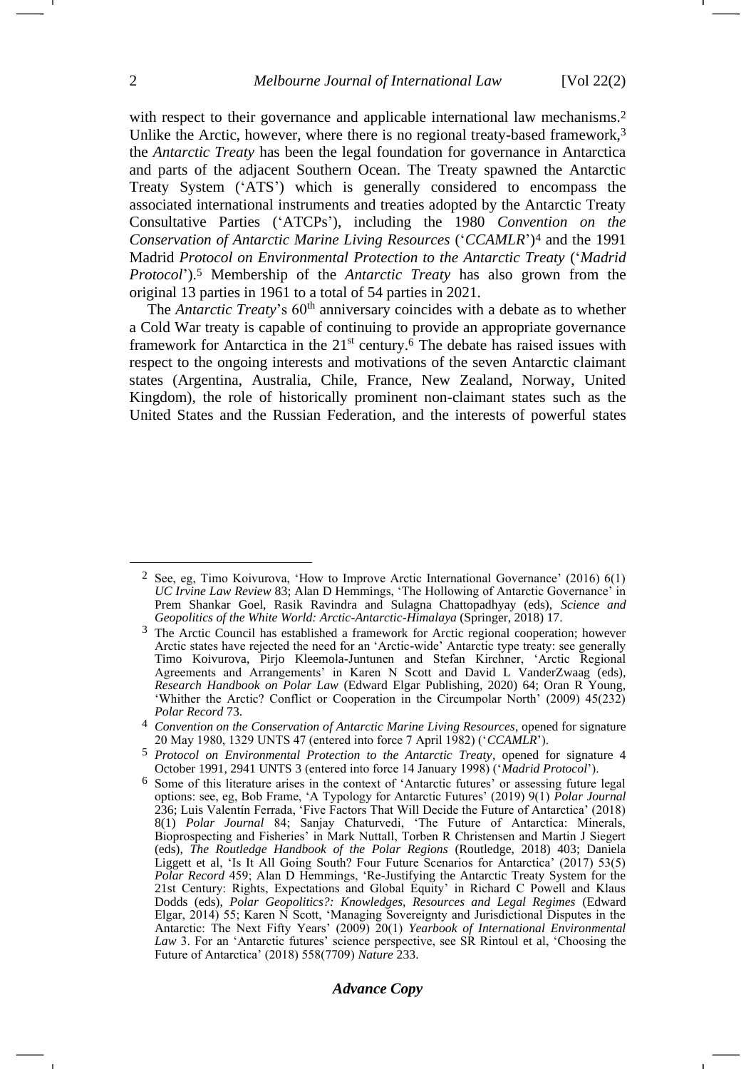with respect to their governance and applicable international law mechanisms.<sup>2</sup> Unlike the Arctic, however, where there is no regional treaty-based framework,<sup>3</sup> the *Antarctic Treaty* has been the legal foundation for governance in Antarctica and parts of the adjacent Southern Ocean. The Treaty spawned the Antarctic Treaty System ('ATS') which is generally considered to encompass the associated international instruments and treaties adopted by the Antarctic Treaty Consultative Parties ('ATCPs'), including the 1980 *Convention on the Conservation of Antarctic Marine Living Resources* ('*CCAMLR*') <sup>4</sup> and the 1991 Madrid *Protocol on Environmental Protection to the Antarctic Treaty* ('*Madrid Protocol*').<sup>5</sup> Membership of the *Antarctic Treaty* has also grown from the original 13 parties in 1961 to a total of 54 parties in 2021.

<span id="page-1-1"></span><span id="page-1-0"></span>The *Antarctic Treaty*'s 60<sup>th</sup> anniversary coincides with a debate as to whether a Cold War treaty is capable of continuing to provide an appropriate governance framework for Antarctica in the 21<sup>st</sup> century.<sup>6</sup> The debate has raised issues with respect to the ongoing interests and motivations of the seven Antarctic claimant states (Argentina, Australia, Chile, France, New Zealand, Norway, United Kingdom), the role of historically prominent non-claimant states such as the United States and the Russian Federation, and the interests of powerful states

<sup>2</sup> See, eg, Timo Koivurova, 'How to Improve Arctic International Governance' (2016) 6(1) *UC Irvine Law Review* 83; Alan D Hemmings, 'The Hollowing of Antarctic Governance' in Prem Shankar Goel, Rasik Ravindra and Sulagna Chattopadhyay (eds), *Science and Geopolitics of the White World: Arctic-Antarctic-Himalaya* (Springer, 2018) 17.

<sup>3</sup> The Arctic Council has established a framework for Arctic regional cooperation; however Arctic states have rejected the need for an 'Arctic-wide' Antarctic type treaty: see generally Timo Koivurova, Pirjo Kleemola-Juntunen and Stefan Kirchner, 'Arctic Regional Agreements and Arrangements' in Karen N Scott and David L VanderZwaag (eds), *Research Handbook on Polar Law* (Edward Elgar Publishing, 2020) 64; Oran R Young, 'Whither the Arctic? Conflict or Cooperation in the Circumpolar North' (2009) 45(232) *Polar Record* 73.

<sup>4</sup> *Convention on the Conservation of Antarctic Marine Living Resources*, opened for signature 20 May 1980, 1329 UNTS 47 (entered into force 7 April 1982) ('*CCAMLR*').

<sup>5</sup> *Protocol on Environmental Protection to the Antarctic Treaty*, opened for signature 4 October 1991, 2941 UNTS 3 (entered into force 14 January 1998) ('*Madrid Protocol*').

<sup>6</sup> Some of this literature arises in the context of 'Antarctic futures' or assessing future legal options: see, eg, Bob Frame, 'A Typology for Antarctic Futures' (2019) 9(1) *Polar Journal* 236; Luis Valentín Ferrada, 'Five Factors That Will Decide the Future of Antarctica' (2018) 8(1) *Polar Journal* 84; Sanjay Chaturvedi, 'The Future of Antarctica: Minerals, Bioprospecting and Fisheries' in Mark Nuttall, Torben R Christensen and Martin J Siegert (eds), *The Routledge Handbook of the Polar Regions* (Routledge, 2018) 403; Daniela Liggett et al, 'Is It All Going South? Four Future Scenarios for Antarctica' (2017) 53(5) *Polar Record* 459; Alan D Hemmings, 'Re-Justifying the Antarctic Treaty System for the 21st Century: Rights, Expectations and Global Equity' in Richard C Powell and Klaus Dodds (eds), *Polar Geopolitics?: Knowledges, Resources and Legal Regimes* (Edward Elgar, 2014) 55; Karen N Scott, 'Managing Sovereignty and Jurisdictional Disputes in the Antarctic: The Next Fifty Years' (2009) 20(1) *Yearbook of International Environmental Law* 3. For an 'Antarctic futures' science perspective, see SR Rintoul et al, 'Choosing the Future of Antarctica' (2018) 558(7709) *Nature* 233.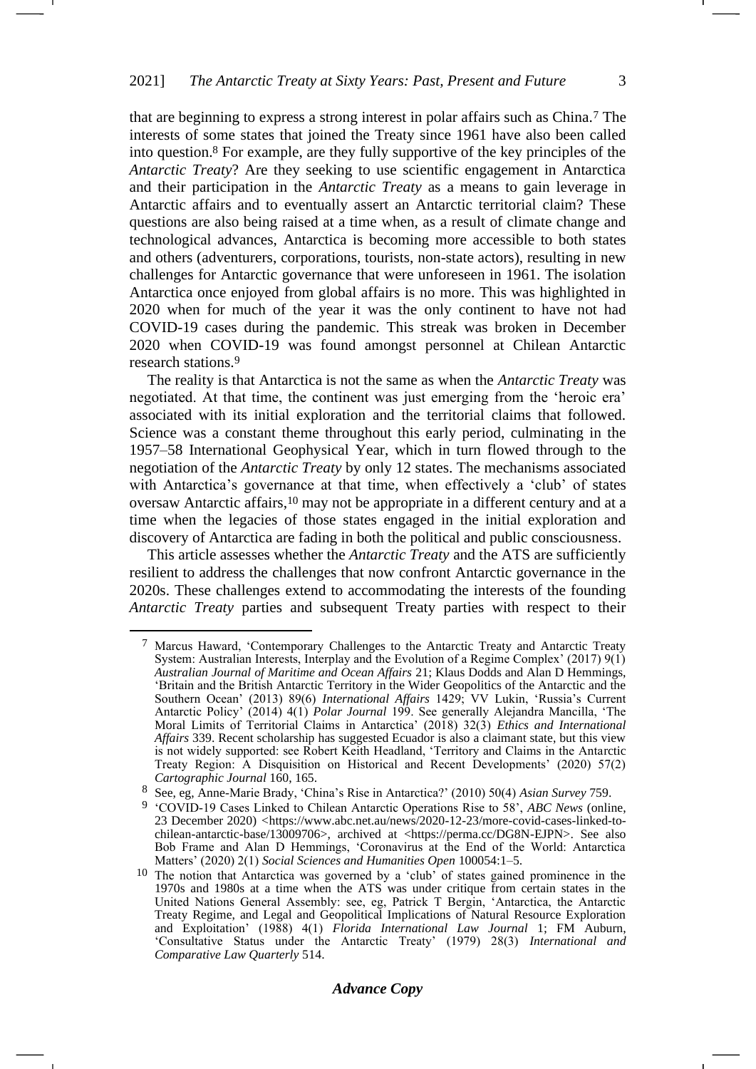<span id="page-2-3"></span><span id="page-2-2"></span>that are beginning to express a strong interest in polar affairs such as China.<sup>7</sup> The interests of some states that joined the Treaty since 1961 have also been called into question.<sup>8</sup> For example, are they fully supportive of the key principles of the *Antarctic Treaty*? Are they seeking to use scientific engagement in Antarctica and their participation in the *Antarctic Treaty* as a means to gain leverage in Antarctic affairs and to eventually assert an Antarctic territorial claim? These questions are also being raised at a time when, as a result of climate change and technological advances, Antarctica is becoming more accessible to both states and others (adventurers, corporations, tourists, non-state actors), resulting in new challenges for Antarctic governance that were unforeseen in 1961. The isolation Antarctica once enjoyed from global affairs is no more. This was highlighted in 2020 when for much of the year it was the only continent to have not had COVID-19 cases during the pandemic. This streak was broken in December 2020 when COVID-19 was found amongst personnel at Chilean Antarctic research stations.<sup>9</sup>

<span id="page-2-0"></span>The reality is that Antarctica is not the same as when the *Antarctic Treaty* was negotiated. At that time, the continent was just emerging from the 'heroic era' associated with its initial exploration and the territorial claims that followed. Science was a constant theme throughout this early period, culminating in the 1957–58 International Geophysical Year, which in turn flowed through to the negotiation of the *Antarctic Treaty* by only 12 states. The mechanisms associated with Antarctica's governance at that time, when effectively a 'club' of states oversaw Antarctic affairs,<sup>10</sup> may not be appropriate in a different century and at a time when the legacies of those states engaged in the initial exploration and discovery of Antarctica are fading in both the political and public consciousness.

<span id="page-2-1"></span>This article assesses whether the *Antarctic Treaty* and the ATS are sufficiently resilient to address the challenges that now confront Antarctic governance in the 2020s. These challenges extend to accommodating the interests of the founding *Antarctic Treaty* parties and subsequent Treaty parties with respect to their

<sup>7</sup> Marcus Haward, 'Contemporary Challenges to the Antarctic Treaty and Antarctic Treaty System: Australian Interests, Interplay and the Evolution of a Regime Complex' (2017) 9(1) *Australian Journal of Maritime and Ocean Affairs* 21; Klaus Dodds and Alan D Hemmings, 'Britain and the British Antarctic Territory in the Wider Geopolitics of the Antarctic and the Southern Ocean' (2013) 89(6) *International Affairs* 1429; VV Lukin, 'Russia's Current Antarctic Policy' (2014) 4(1) *Polar Journal* 199. See generally Alejandra Mancilla, 'The Moral Limits of Territorial Claims in Antarctica' (2018) 32(3) *Ethics and International Affairs* 339. Recent scholarship has suggested Ecuador is also a claimant state, but this view is not widely supported: see Robert Keith Headland, 'Territory and Claims in the Antarctic Treaty Region: A Disquisition on Historical and Recent Developments' (2020) 57(2) *Cartographic Journal* 160, 165.

<sup>8</sup> See, eg, Anne-Marie Brady, 'China's Rise in Antarctica?' (2010) 50(4) *Asian Survey* 759.

<sup>9</sup> 'COVID-19 Cases Linked to Chilean Antarctic Operations Rise to 58', *ABC News* (online, 23 December 2020) *<*https://www.abc.net.au/news/2020-12-23/more-covid-cases-linked-tochilean-antarctic-base/13009706>, archived at <https://perma.cc/DG8N-EJPN>. See also Bob Frame and Alan D Hemmings, 'Coronavirus at the End of the World: Antarctica Matters' (2020) 2(1) *Social Sciences and Humanities Open* 100054:1–5.

<sup>10</sup> The notion that Antarctica was governed by a 'club' of states gained prominence in the 1970s and 1980s at a time when the ATS was under critique from certain states in the United Nations General Assembly: see, eg, Patrick T Bergin, 'Antarctica, the Antarctic Treaty Regime, and Legal and Geopolitical Implications of Natural Resource Exploration and Exploitation' (1988) 4(1) *Florida International Law Journal* 1; FM Auburn, 'Consultative Status under the Antarctic Treaty' (1979) 28(3) *International and Comparative Law Quarterly* 514.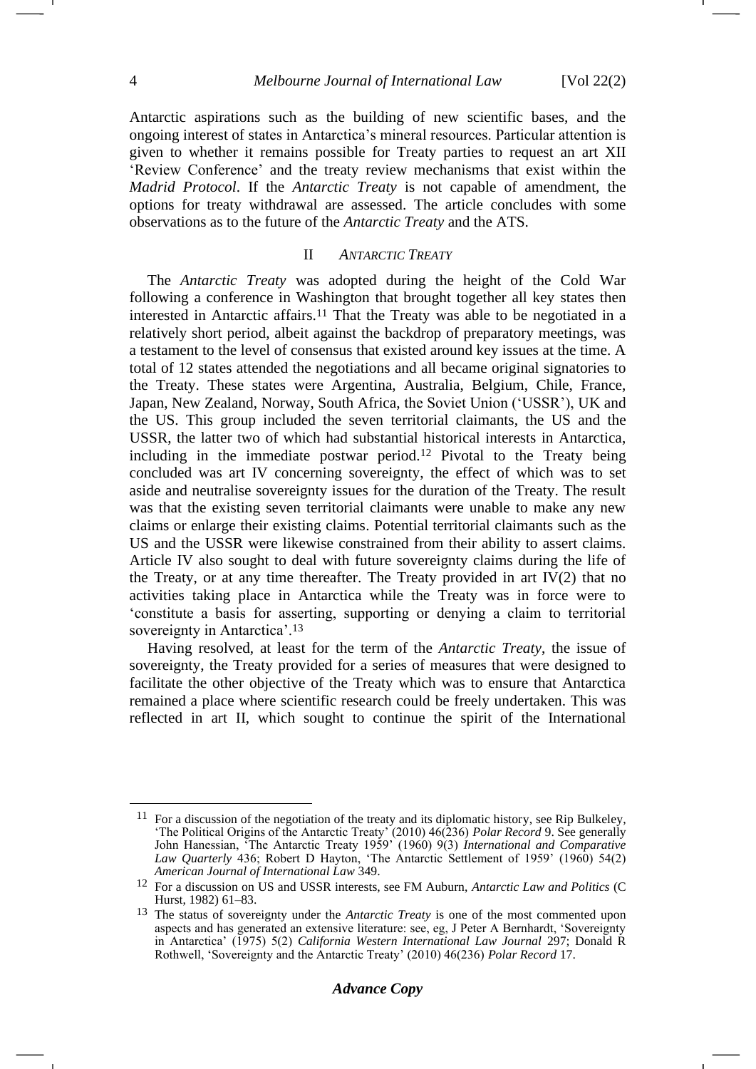Antarctic aspirations such as the building of new scientific bases, and the ongoing interest of states in Antarctica's mineral resources. Particular attention is given to whether it remains possible for Treaty parties to request an art XII 'Review Conference' and the treaty review mechanisms that exist within the *Madrid Protocol*. If the *Antarctic Treaty* is not capable of amendment, the options for treaty withdrawal are assessed. The article concludes with some observations as to the future of the *Antarctic Treaty* and the ATS.

#### <span id="page-3-0"></span>II *ANTARCTIC TREATY*

The *Antarctic Treaty* was adopted during the height of the Cold War following a conference in Washington that brought together all key states then interested in Antarctic affairs.<sup>11</sup> That the Treaty was able to be negotiated in a relatively short period, albeit against the backdrop of preparatory meetings, was a testament to the level of consensus that existed around key issues at the time. A total of 12 states attended the negotiations and all became original signatories to the Treaty. These states were Argentina, Australia, Belgium, Chile, France, Japan, New Zealand, Norway, South Africa, the Soviet Union ('USSR'), UK and the US. This group included the seven territorial claimants, the US and the USSR, the latter two of which had substantial historical interests in Antarctica, including in the immediate postwar period.<sup>12</sup> Pivotal to the Treaty being concluded was art IV concerning sovereignty, the effect of which was to set aside and neutralise sovereignty issues for the duration of the Treaty. The result was that the existing seven territorial claimants were unable to make any new claims or enlarge their existing claims. Potential territorial claimants such as the US and the USSR were likewise constrained from their ability to assert claims. Article IV also sought to deal with future sovereignty claims during the life of the Treaty, or at any time thereafter. The Treaty provided in art  $IV(2)$  that no activities taking place in Antarctica while the Treaty was in force were to 'constitute a basis for asserting, supporting or denying a claim to territorial sovereignty in Antarctica'.<sup>13</sup>

Having resolved, at least for the term of the *Antarctic Treaty*, the issue of sovereignty, the Treaty provided for a series of measures that were designed to facilitate the other objective of the Treaty which was to ensure that Antarctica remained a place where scientific research could be freely undertaken. This was reflected in art II, which sought to continue the spirit of the International

 $11$  For a discussion of the negotiation of the treaty and its diplomatic history, see Rip Bulkeley, 'The Political Origins of the Antarctic Treaty' (2010) 46(236) *Polar Record* 9. See generally John Hanessian, 'The Antarctic Treaty 1959' (1960) 9(3) *International and Comparative Law Quarterly* 436; Robert D Hayton, 'The Antarctic Settlement of 1959' (1960) 54(2) *American Journal of International Law* 349.

<sup>12</sup> For a discussion on US and USSR interests, see FM Auburn, *Antarctic Law and Politics* (C Hurst, 1982) 61–83.

<sup>13</sup> The status of sovereignty under the *Antarctic Treaty* is one of the most commented upon aspects and has generated an extensive literature: see, eg, J Peter A Bernhardt, 'Sovereignty in Antarctica' (1975) 5(2) *California Western International Law Journal* 297; Donald R Rothwell, 'Sovereignty and the Antarctic Treaty' (2010) 46(236) *Polar Record* 17.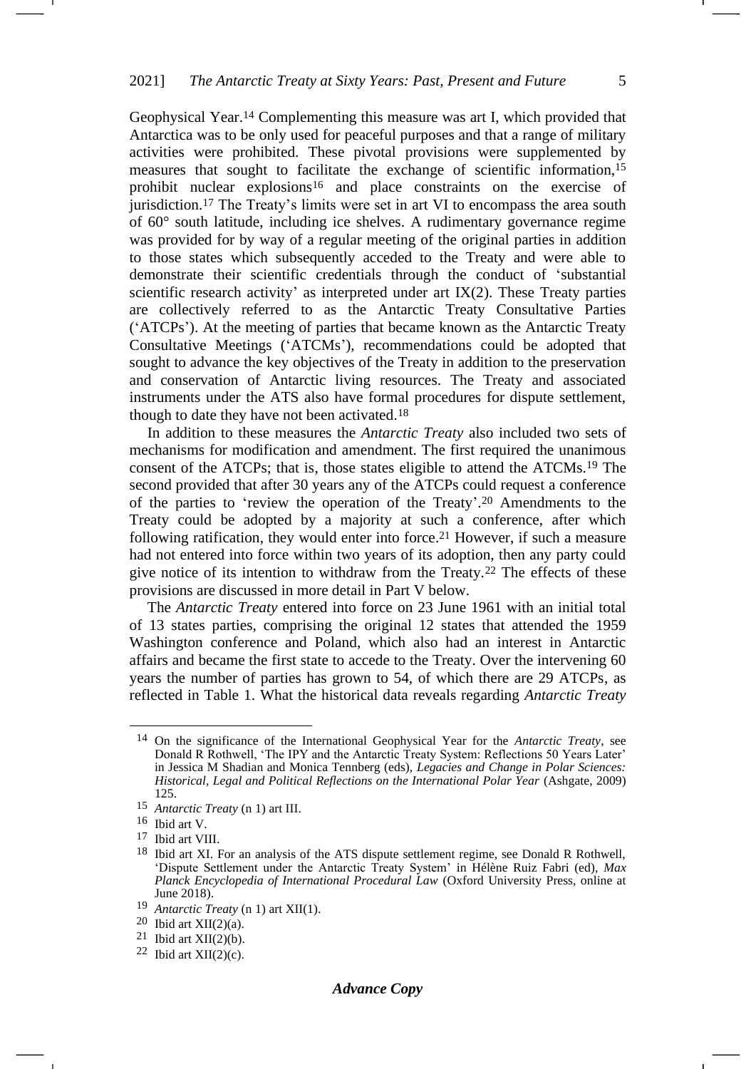Geophysical Year.<sup>14</sup> Complementing this measure was art I, which provided that Antarctica was to be only used for peaceful purposes and that a range of military activities were prohibited. These pivotal provisions were supplemented by measures that sought to facilitate the exchange of scientific information,<sup>15</sup> prohibit nuclear explosions<sup>16</sup> and place constraints on the exercise of jurisdiction.<sup>17</sup> The Treaty's limits were set in art VI to encompass the area south of 60° south latitude, including ice shelves. A rudimentary governance regime was provided for by way of a regular meeting of the original parties in addition to those states which subsequently acceded to the Treaty and were able to demonstrate their scientific credentials through the conduct of 'substantial scientific research activity' as interpreted under art IX(2). These Treaty parties are collectively referred to as the Antarctic Treaty Consultative Parties ('ATCPs'). At the meeting of parties that became known as the Antarctic Treaty Consultative Meetings ('ATCMs'), recommendations could be adopted that sought to advance the key objectives of the Treaty in addition to the preservation and conservation of Antarctic living resources. The Treaty and associated instruments under the ATS also have formal procedures for dispute settlement, though to date they have not been activated. 18

In addition to these measures the *Antarctic Treaty* also included two sets of mechanisms for modification and amendment. The first required the unanimous consent of the ATCPs; that is, those states eligible to attend the ATCMs.<sup>19</sup> The second provided that after 30 years any of the ATCPs could request a conference of the parties to 'review the operation of the Treaty'. <sup>20</sup> Amendments to the Treaty could be adopted by a majority at such a conference, after which following ratification, they would enter into force.<sup>21</sup> However, if such a measure had not entered into force within two years of its adoption, then any party could give notice of its intention to withdraw from the Treaty.<sup>22</sup> The effects of these provisions are discussed in more detail in Part V below.

The *Antarctic Treaty* entered into force on 23 June 1961 with an initial total of 13 states parties, comprising the original 12 states that attended the 1959 Washington conference and Poland, which also had an interest in Antarctic affairs and became the first state to accede to the Treaty. Over the intervening 60 years the number of parties has grown to 54, of which there are 29 ATCPs, as reflected in Table 1. What the historical data reveals regarding *Antarctic Treaty* -

<sup>14</sup> On the significance of the International Geophysical Year for the *Antarctic Treaty*, see Donald R Rothwell, 'The IPY and the Antarctic Treaty System: Reflections 50 Years Later' in Jessica M Shadian and Monica Tennberg (eds), *Legacies and Change in Polar Sciences: Historical, Legal and Political Reflections on the International Polar Year* (Ashgate, 2009) 125.

<sup>15</sup> *Antarctic Treaty* (n [1\)](#page-0-0) art III.

<sup>16</sup> Ibid art V.

<sup>&</sup>lt;sup>17</sup> Ibid art VIII.

<sup>18</sup> Ibid art XI. For an analysis of the ATS dispute settlement regime, see Donald R Rothwell, 'Dispute Settlement under the Antarctic Treaty System' in Hélène Ruiz Fabri (ed), *Max Planck Encyclopedia of International Procedural Law* (Oxford University Press, online at June 2018).

<sup>19</sup> *Antarctic Treaty* (n [1\)](#page-0-0) art XII(1).

 $20$  Ibid art XII(2)(a).

 $21$  Ibid art XII(2)(b).

<sup>22</sup> Ibid art  $XII(2)(c)$ .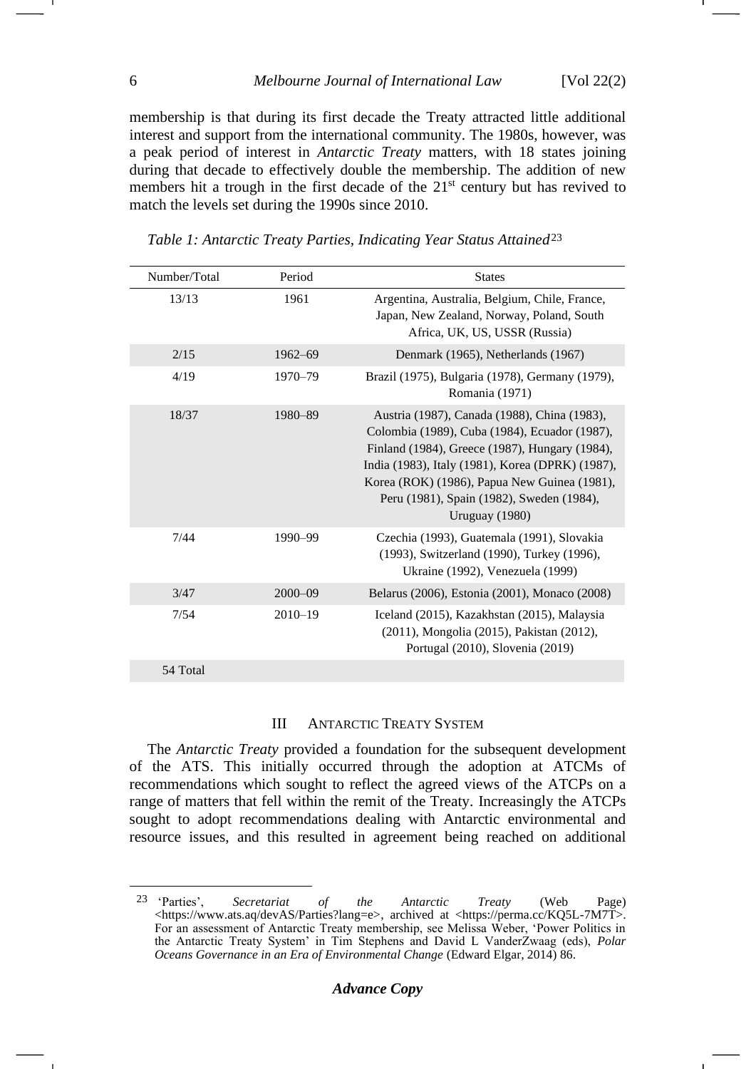membership is that during its first decade the Treaty attracted little additional interest and support from the international community. The 1980s, however, was a peak period of interest in *Antarctic Treaty* matters, with 18 states joining during that decade to effectively double the membership. The addition of new members hit a trough in the first decade of the  $21<sup>st</sup>$  century but has revived to match the levels set during the 1990s since 2010.

| Number/Total | Period      | <b>States</b>                                                                                                                                                                                                                                                                                                        |
|--------------|-------------|----------------------------------------------------------------------------------------------------------------------------------------------------------------------------------------------------------------------------------------------------------------------------------------------------------------------|
| 13/13        | 1961        | Argentina, Australia, Belgium, Chile, France,<br>Japan, New Zealand, Norway, Poland, South<br>Africa, UK, US, USSR (Russia)                                                                                                                                                                                          |
| 2/15         | $1962 - 69$ | Denmark (1965), Netherlands (1967)                                                                                                                                                                                                                                                                                   |
| 4/19         | 1970-79     | Brazil (1975), Bulgaria (1978), Germany (1979),<br>Romania (1971)                                                                                                                                                                                                                                                    |
| 18/37        | 1980-89     | Austria (1987), Canada (1988), China (1983),<br>Colombia (1989), Cuba (1984), Ecuador (1987),<br>Finland (1984), Greece (1987), Hungary (1984),<br>India (1983), Italy (1981), Korea (DPRK) (1987),<br>Korea (ROK) (1986), Papua New Guinea (1981),<br>Peru (1981), Spain (1982), Sweden (1984),<br>Uruguay $(1980)$ |
| 7/44         | 1990-99     | Czechia (1993), Guatemala (1991), Slovakia<br>(1993), Switzerland (1990), Turkey (1996),<br>Ukraine (1992), Venezuela (1999)                                                                                                                                                                                         |
| 3/47         | $2000 - 09$ | Belarus (2006), Estonia (2001), Monaco (2008)                                                                                                                                                                                                                                                                        |
| 7/54         | $2010 - 19$ | Iceland (2015), Kazakhstan (2015), Malaysia<br>(2011), Mongolia (2015), Pakistan (2012),<br>Portugal (2010), Slovenia (2019)                                                                                                                                                                                         |
| 54 Total     |             |                                                                                                                                                                                                                                                                                                                      |

<span id="page-5-0"></span>*Table 1: Antarctic Treaty Parties, Indicating Year Status Attained*<sup>23</sup>

#### III ANTARCTIC TREATY SYSTEM

The *Antarctic Treaty* provided a foundation for the subsequent development of the ATS. This initially occurred through the adoption at ATCMs of recommendations which sought to reflect the agreed views of the ATCPs on a range of matters that fell within the remit of the Treaty. Increasingly the ATCPs sought to adopt recommendations dealing with Antarctic environmental and resource issues, and this resulted in agreement being reached on additional

<sup>23</sup> 'Parties', *Secretariat of the Antarctic Treaty* (Web Page) <https://www.ats.aq/devAS/Parties?lang=e>, archived at <https://perma.cc/KQ5L-7M7T>. For an assessment of Antarctic Treaty membership, see Melissa Weber, 'Power Politics in the Antarctic Treaty System' in Tim Stephens and David L VanderZwaag (eds), *Polar Oceans Governance in an Era of Environmental Change* (Edward Elgar, 2014) 86.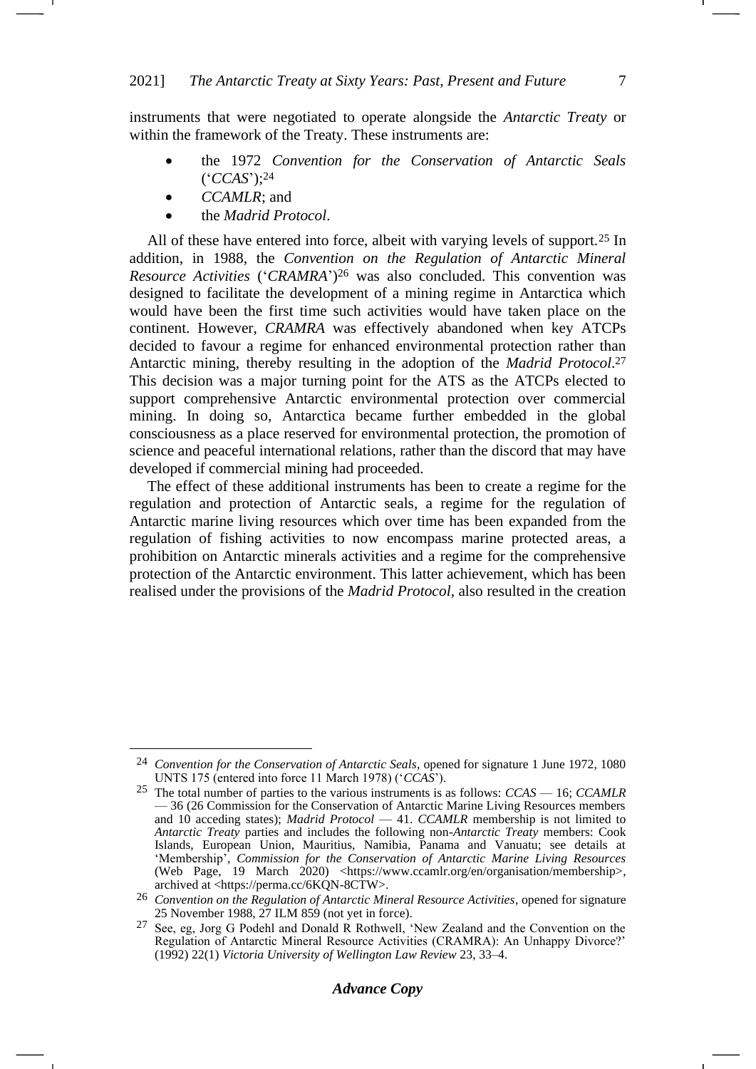instruments that were negotiated to operate alongside the *Antarctic Treaty* or within the framework of the Treaty. These instruments are:

- the 1972 *Convention for the Conservation of Antarctic Seals* ('*CCAS*');<sup>24</sup>
	- *CCAMLR*; and
- the *Madrid Protocol*.

All of these have entered into force, albeit with varying levels of support.<sup>25</sup> In addition, in 1988, the *Convention on the Regulation of Antarctic Mineral Resource Activities* ('*CRAMRA*') <sup>26</sup> was also concluded. This convention was designed to facilitate the development of a mining regime in Antarctica which would have been the first time such activities would have taken place on the continent. However, *CRAMRA* was effectively abandoned when key ATCPs decided to favour a regime for enhanced environmental protection rather than Antarctic mining, thereby resulting in the adoption of the *Madrid Protocol*. 27 This decision was a major turning point for the ATS as the ATCPs elected to support comprehensive Antarctic environmental protection over commercial mining. In doing so, Antarctica became further embedded in the global consciousness as a place reserved for environmental protection, the promotion of science and peaceful international relations, rather than the discord that may have developed if commercial mining had proceeded.

The effect of these additional instruments has been to create a regime for the regulation and protection of Antarctic seals, a regime for the regulation of Antarctic marine living resources which over time has been expanded from the regulation of fishing activities to now encompass marine protected areas, a prohibition on Antarctic minerals activities and a regime for the comprehensive protection of the Antarctic environment. This latter achievement, which has been realised under the provisions of the *Madrid Protocol*, also resulted in the creation

<sup>24</sup> *Convention for the Conservation of Antarctic Seals*, opened for signature 1 June 1972, 1080 UNTS 175 (entered into force 11 March 1978) ('*CCAS*').

<sup>25</sup> The total number of parties to the various instruments is as follows: *CCAS* — 16; *CCAMLR* — 36 (26 Commission for the Conservation of Antarctic Marine Living Resources members and 10 acceding states); *Madrid Protocol* — 41. *CCAMLR* membership is not limited to *Antarctic Treaty* parties and includes the following non-*Antarctic Treaty* members: Cook Islands, European Union, Mauritius, Namibia, Panama and Vanuatu; see details at 'Membership', *Commission for the Conservation of Antarctic Marine Living Resources* (Web Page, 19 March 2020) <https://www.ccamlr.org/en/organisation/membership>, archived at <https://perma.cc/6KQN-8CTW>.

<sup>26</sup> *Convention on the Regulation of Antarctic Mineral Resource Activities*, opened for signature 25 November 1988, 27 ILM 859 (not yet in force).

<sup>27</sup> See, eg, Jorg G Podehl and Donald R Rothwell, 'New Zealand and the Convention on the Regulation of Antarctic Mineral Resource Activities (CRAMRA): An Unhappy Divorce?' (1992) 22(1) *Victoria University of Wellington Law Review* 23, 33–4.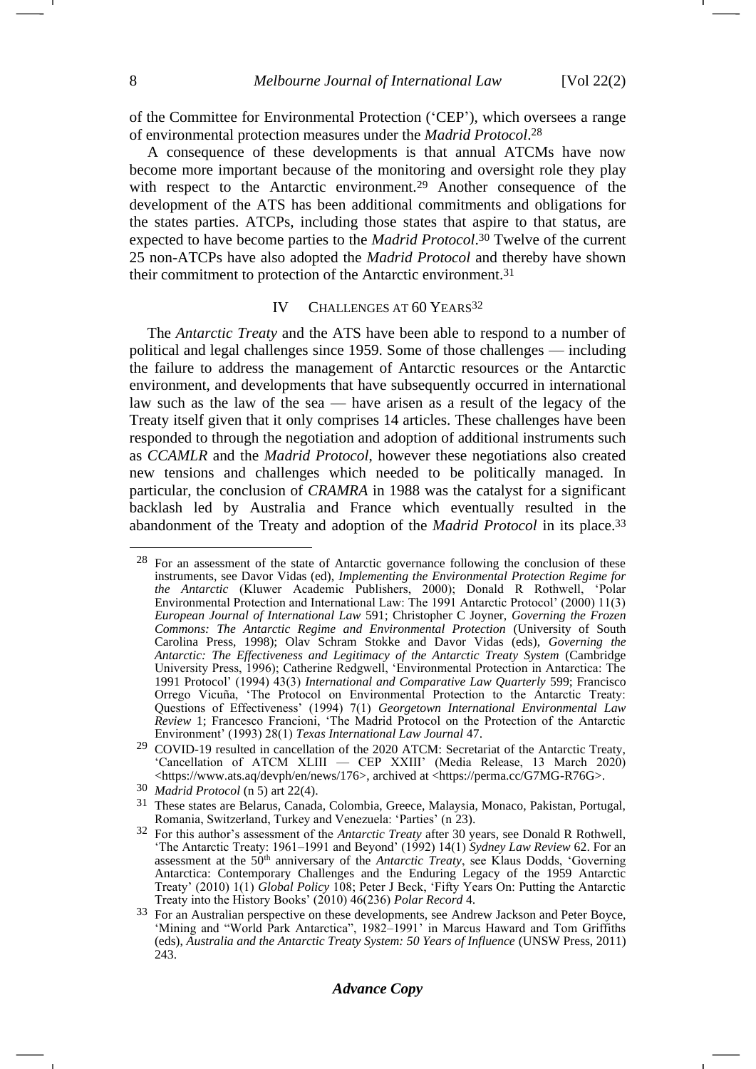of the Committee for Environmental Protection ('CEP'), which oversees a range of environmental protection measures under the *Madrid Protocol*. 28

A consequence of these developments is that annual ATCMs have now become more important because of the monitoring and oversight role they play with respect to the Antarctic environment.<sup>29</sup> Another consequence of the development of the ATS has been additional commitments and obligations for the states parties. ATCPs, including those states that aspire to that status, are expected to have become parties to the *Madrid Protocol*. <sup>30</sup> Twelve of the current 25 non-ATCPs have also adopted the *Madrid Protocol* and thereby have shown their commitment to protection of the Antarctic environment.<sup>31</sup>

#### <span id="page-7-0"></span>IV CHALLENGES AT 60 YEARS<sup>32</sup>

The *Antarctic Treaty* and the ATS have been able to respond to a number of political and legal challenges since 1959. Some of those challenges — including the failure to address the management of Antarctic resources or the Antarctic environment, and developments that have subsequently occurred in international law such as the law of the sea — have arisen as a result of the legacy of the Treaty itself given that it only comprises 14 articles. These challenges have been responded to through the negotiation and adoption of additional instruments such as *CCAMLR* and the *Madrid Protocol*, however these negotiations also created new tensions and challenges which needed to be politically managed. In particular, the conclusion of *CRAMRA* in 1988 was the catalyst for a significant backlash led by Australia and France which eventually resulted in the abandonment of the Treaty and adoption of the *Madrid Protocol* in its place. 33

<sup>28</sup> For an assessment of the state of Antarctic governance following the conclusion of these instruments, see Davor Vidas (ed), *Implementing the Environmental Protection Regime for the Antarctic* (Kluwer Academic Publishers, 2000); Donald R Rothwell, 'Polar Environmental Protection and International Law: The 1991 Antarctic Protocol' (2000) 11(3) *European Journal of International Law* 591; Christopher C Joyner, *Governing the Frozen Commons: The Antarctic Regime and Environmental Protection* (University of South Carolina Press, 1998); Olav Schram Stokke and Davor Vidas (eds), *Governing the Antarctic: The Effectiveness and Legitimacy of the Antarctic Treaty System* (Cambridge University Press, 1996); Catherine Redgwell, 'Environmental Protection in Antarctica: The 1991 Protocol' (1994) 43(3) *International and Comparative Law Quarterly* 599; Francisco Orrego Vicuña, 'The Protocol on Environmental Protection to the Antarctic Treaty: Questions of Effectiveness' (1994) 7(1) *Georgetown International Environmental Law Review* 1; Francesco Francioni, 'The Madrid Protocol on the Protection of the Antarctic Environment' (1993) 28(1) *Texas International Law Journal* 47.

<sup>29</sup> COVID-19 resulted in cancellation of the 2020 ATCM: Secretariat of the Antarctic Treaty, 'Cancellation of ATCM XLIII — CEP XXIII' (Media Release, 13 March 2020) <https://www.ats.aq/devph/en/news/176>, archived at <https://perma.cc/G7MG-R76G>.

<sup>30</sup> *Madrid Protocol* (n [5\)](#page-1-0) art 22(4).

<sup>31</sup> These states are Belarus, Canada, Colombia, Greece, Malaysia, Monaco, Pakistan, Portugal, Romania, Switzerland, Turkey and Venezuela: 'Parties' (n [23\)](#page-5-0).

<sup>32</sup> For this author's assessment of the *Antarctic Treaty* after 30 years, see Donald R Rothwell, 'The Antarctic Treaty: 1961–1991 and Beyond' (1992) 14(1) *Sydney Law Review* 62. For an assessment at the 50th anniversary of the *Antarctic Treaty*, see Klaus Dodds, 'Governing Antarctica: Contemporary Challenges and the Enduring Legacy of the 1959 Antarctic Treaty' (2010) 1(1) *Global Policy* 108; Peter J Beck, 'Fifty Years On: Putting the Antarctic Treaty into the History Books' (2010) 46(236) *Polar Record* 4.

<sup>&</sup>lt;sup>33</sup> For an Australian perspective on these developments, see Andrew Jackson and Peter Boyce, 'Mining and "World Park Antarctica", 1982–1991' in Marcus Haward and Tom Griffiths (eds), *Australia and the Antarctic Treaty System: 50 Years of Influence* (UNSW Press, 2011) 243.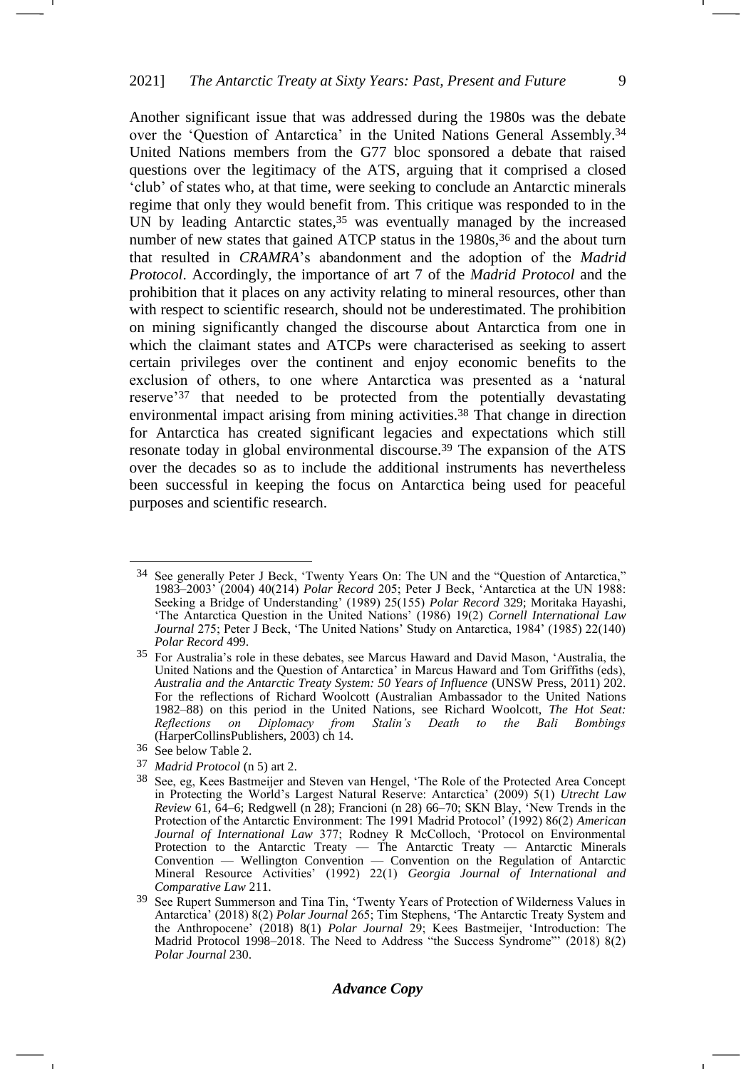-1

Another significant issue that was addressed during the 1980s was the debate over the 'Question of Antarctica' in the United Nations General Assembly.<sup>34</sup> United Nations members from the G77 bloc sponsored a debate that raised questions over the legitimacy of the ATS, arguing that it comprised a closed 'club' of states who, at that time, were seeking to conclude an Antarctic minerals regime that only they would benefit from. This critique was responded to in the UN by leading Antarctic states,<sup>35</sup> was eventually managed by the increased number of new states that gained ATCP status in the 1980s,<sup>36</sup> and the about turn that resulted in *CRAMRA*'s abandonment and the adoption of the *Madrid Protocol*. Accordingly, the importance of art 7 of the *Madrid Protocol* and the prohibition that it places on any activity relating to mineral resources, other than with respect to scientific research, should not be underestimated. The prohibition on mining significantly changed the discourse about Antarctica from one in which the claimant states and ATCPs were characterised as seeking to assert certain privileges over the continent and enjoy economic benefits to the exclusion of others, to one where Antarctica was presented as a 'natural reserve'<sup>37</sup> that needed to be protected from the potentially devastating environmental impact arising from mining activities.<sup>38</sup> That change in direction for Antarctica has created significant legacies and expectations which still resonate today in global environmental discourse.<sup>39</sup> The expansion of the ATS over the decades so as to include the additional instruments has nevertheless been successful in keeping the focus on Antarctica being used for peaceful purposes and scientific research.

37 *Madrid Protocol* (n [5\)](#page-1-0) art 2.

<sup>34</sup> See generally Peter J Beck, 'Twenty Years On: The UN and the "Question of Antarctica," 1983–2003' (2004) 40(214) *Polar Record* 205; Peter J Beck, 'Antarctica at the UN 1988: Seeking a Bridge of Understanding' (1989) 25(155) *Polar Record* 329; Moritaka Hayashi, 'The Antarctica Question in the United Nations' (1986) 19(2) *Cornell International Law Journal* 275; Peter J Beck, 'The United Nations' Study on Antarctica, 1984' (1985) 22(140) *Polar Record* 499.

<sup>35</sup> For Australia's role in these debates, see Marcus Haward and David Mason, 'Australia, the United Nations and the Question of Antarctica' in Marcus Haward and Tom Griffiths (eds), *Australia and the Antarctic Treaty System: 50 Years of Influence* (UNSW Press, 2011) 202. For the reflections of Richard Woolcott (Australian Ambassador to the United Nations 1982–88) on this period in the United Nations, see Richard Woolcott, *The Hot Seat: Reflections on Diplomacy from Stalin's Death to the Bali Bombings*  (HarperCollinsPublishers, 2003) ch 14.

<sup>36</sup> See below Table 2.

<sup>38</sup> See, eg, Kees Bastmeijer and Steven van Hengel, 'The Role of the Protected Area Concept in Protecting the World's Largest Natural Reserve: Antarctica' (2009) 5(1) *Utrecht Law Review* 61, 64–6; Redgwell (n [28\)](#page-7-0); Francioni (n [28\)](#page-7-0) 66–70; SKN Blay, 'New Trends in the Protection of the Antarctic Environment: The 1991 Madrid Protocol' (1992) 86(2) *American Journal of International Law* 377; Rodney R McColloch, 'Protocol on Environmental Protection to the Antarctic Treaty — The Antarctic Treaty — Antarctic Minerals Convention — Wellington Convention — Convention on the Regulation of Antarctic Mineral Resource Activities' (1992) 22(1) *Georgia Journal of International and Comparative Law* 211.

<sup>39</sup> See Rupert Summerson and Tina Tin, 'Twenty Years of Protection of Wilderness Values in Antarctica' (2018) 8(2) *Polar Journal* 265; Tim Stephens, 'The Antarctic Treaty System and the Anthropocene' (2018) 8(1) *Polar Journal* 29; Kees Bastmeijer, 'Introduction: The Madrid Protocol 1998–2018. The Need to Address "the Success Syndrome"' (2018) 8(2) *Polar Journal* 230.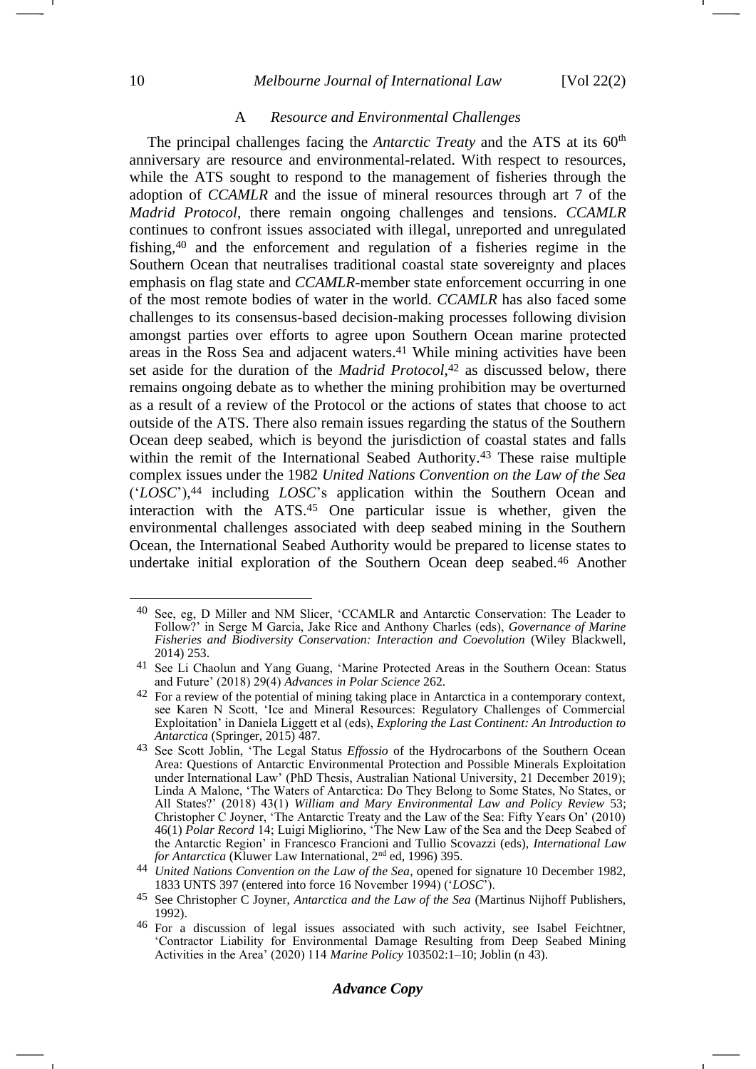## A *Resource and Environmental Challenges*

The principal challenges facing the *Antarctic Treaty* and the ATS at its 60<sup>th</sup> anniversary are resource and environmental-related. With respect to resources, while the ATS sought to respond to the management of fisheries through the adoption of *CCAMLR* and the issue of mineral resources through art 7 of the *Madrid Protocol*, there remain ongoing challenges and tensions. *CCAMLR* continues to confront issues associated with illegal, unreported and unregulated fishing,<sup>40</sup> and the enforcement and regulation of a fisheries regime in the Southern Ocean that neutralises traditional coastal state sovereignty and places emphasis on flag state and *CCAMLR*-member state enforcement occurring in one of the most remote bodies of water in the world. *CCAMLR* has also faced some challenges to its consensus-based decision-making processes following division amongst parties over efforts to agree upon Southern Ocean marine protected areas in the Ross Sea and adjacent waters.<sup>41</sup> While mining activities have been set aside for the duration of the *Madrid Protocol*, <sup>42</sup> as discussed below, there remains ongoing debate as to whether the mining prohibition may be overturned as a result of a review of the Protocol or the actions of states that choose to act outside of the ATS. There also remain issues regarding the status of the Southern Ocean deep seabed, which is beyond the jurisdiction of coastal states and falls within the remit of the International Seabed Authority.<sup>43</sup> These raise multiple complex issues under the 1982 *United Nations Convention on the Law of the Sea* ('*LOSC*'), <sup>44</sup> including *LOSC*'s application within the Southern Ocean and interaction with the ATS.<sup>45</sup> One particular issue is whether, given the environmental challenges associated with deep seabed mining in the Southern Ocean, the International Seabed Authority would be prepared to license states to undertake initial exploration of the Southern Ocean deep seabed.<sup>46</sup> Another

<span id="page-9-0"></span><sup>40</sup> See, eg, D Miller and NM Slicer, 'CCAMLR and Antarctic Conservation: The Leader to Follow?' in Serge M Garcia, Jake Rice and Anthony Charles (eds), *Governance of Marine Fisheries and Biodiversity Conservation: Interaction and Coevolution* (Wiley Blackwell, 2014) 253.

<sup>41</sup> See Li Chaolun and Yang Guang, 'Marine Protected Areas in the Southern Ocean: Status and Future' (2018) 29(4) *Advances in Polar Science* 262.

<sup>&</sup>lt;sup>42</sup> For a review of the potential of mining taking place in Antarctica in a contemporary context, see Karen N Scott, 'Ice and Mineral Resources: Regulatory Challenges of Commercial Exploitation' in Daniela Liggett et al (eds), *Exploring the Last Continent: An Introduction to Antarctica* (Springer, 2015) 487.

<sup>43</sup> See Scott Joblin, 'The Legal Status *Effossio* of the Hydrocarbons of the Southern Ocean Area: Questions of Antarctic Environmental Protection and Possible Minerals Exploitation under International Law' (PhD Thesis, Australian National University, 21 December 2019); Linda A Malone, 'The Waters of Antarctica: Do They Belong to Some States, No States, or All States?' (2018) 43(1) *William and Mary Environmental Law and Policy Review* 53; Christopher C Joyner, 'The Antarctic Treaty and the Law of the Sea: Fifty Years On' (2010) 46(1) *Polar Record* 14; Luigi Migliorino, 'The New Law of the Sea and the Deep Seabed of the Antarctic Region' in Francesco Francioni and Tullio Scovazzi (eds), *International Law for Antarctica* (Kluwer Law International, 2<sup>nd</sup> ed, 1996) 395.

<sup>44</sup> *United Nations Convention on the Law of the Sea*, opened for signature 10 December 1982, 1833 UNTS 397 (entered into force 16 November 1994) ('*LOSC*').

<sup>45</sup> See Christopher C Joyner, *Antarctica and the Law of the Sea* (Martinus Nijhoff Publishers, 1992).

<sup>46</sup> For a discussion of legal issues associated with such activity, see Isabel Feichtner, 'Contractor Liability for Environmental Damage Resulting from Deep Seabed Mining Activities in the Area' (2020) 114 *Marine Policy* 103502:1–10; Joblin (n [43\)](#page-9-0).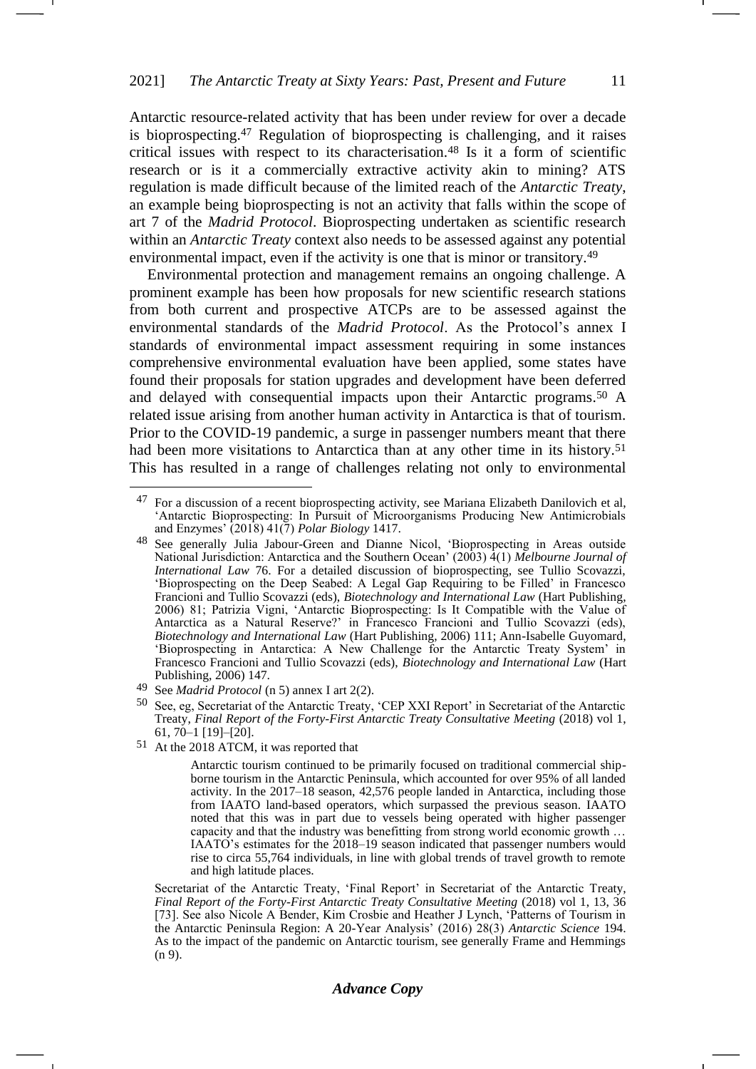Antarctic resource-related activity that has been under review for over a decade is bioprospecting.<sup>47</sup> Regulation of bioprospecting is challenging, and it raises critical issues with respect to its characterisation.<sup>48</sup> Is it a form of scientific research or is it a commercially extractive activity akin to mining? ATS regulation is made difficult because of the limited reach of the *Antarctic Treaty*, an example being bioprospecting is not an activity that falls within the scope of art 7 of the *Madrid Protocol*. Bioprospecting undertaken as scientific research within an *Antarctic Treaty* context also needs to be assessed against any potential environmental impact, even if the activity is one that is minor or transitory.<sup>49</sup>

Environmental protection and management remains an ongoing challenge. A prominent example has been how proposals for new scientific research stations from both current and prospective ATCPs are to be assessed against the environmental standards of the *Madrid Protocol*. As the Protocol's annex I standards of environmental impact assessment requiring in some instances comprehensive environmental evaluation have been applied, some states have found their proposals for station upgrades and development have been deferred and delayed with consequential impacts upon their Antarctic programs.<sup>50</sup> A related issue arising from another human activity in Antarctica is that of tourism. Prior to the COVID-19 pandemic, a surge in passenger numbers meant that there had been more visitations to Antarctica than at any other time in its history.<sup>51</sup> This has resulted in a range of challenges relating not only to environmental

51 At the 2018 ATCM, it was reported that

Antarctic tourism continued to be primarily focused on traditional commercial shipborne tourism in the Antarctic Peninsula, which accounted for over 95% of all landed activity. In the 2017–18 season, 42,576 people landed in Antarctica, including those from IAATO land-based operators, which surpassed the previous season. IAATO noted that this was in part due to vessels being operated with higher passenger capacity and that the industry was benefitting from strong world economic growth … IAATO's estimates for the 2018–19 season indicated that passenger numbers would rise to circa 55,764 individuals, in line with global trends of travel growth to remote and high latitude places.

Secretariat of the Antarctic Treaty, 'Final Report' in Secretariat of the Antarctic Treaty, *Final Report of the Forty-First Antarctic Treaty Consultative Meeting* (2018) vol 1, 13, 36 [73]. See also Nicole A Bender, Kim Crosbie and Heather J Lynch, 'Patterns of Tourism in the Antarctic Peninsula Region: A 20-Year Analysis' (2016) 28(3) *Antarctic Science* 194. As to the impact of the pandemic on Antarctic tourism, see generally Frame and Hemmings (n [9\)](#page-2-0).

<sup>47</sup> For a discussion of a recent bioprospecting activity, see Mariana Elizabeth Danilovich et al, 'Antarctic Bioprospecting: In Pursuit of Microorganisms Producing New Antimicrobials and Enzymes' (2018) 41(7) *Polar Biology* 1417.

<sup>48</sup> See generally Julia Jabour-Green and Dianne Nicol, 'Bioprospecting in Areas outside National Jurisdiction: Antarctica and the Southern Ocean' (2003) 4(1) *Melbourne Journal of International Law* 76. For a detailed discussion of bioprospecting, see Tullio Scovazzi, 'Bioprospecting on the Deep Seabed: A Legal Gap Requiring to be Filled' in Francesco Francioni and Tullio Scovazzi (eds), *Biotechnology and International Law* (Hart Publishing, 2006) 81; Patrizia Vigni, 'Antarctic Bioprospecting: Is It Compatible with the Value of Antarctica as a Natural Reserve?' in Francesco Francioni and Tullio Scovazzi (eds), *Biotechnology and International Law* (Hart Publishing, 2006) 111; Ann-Isabelle Guyomard, 'Bioprospecting in Antarctica: A New Challenge for the Antarctic Treaty System' in Francesco Francioni and Tullio Scovazzi (eds), *Biotechnology and International Law* (Hart Publishing, 2006) 147.

<sup>49</sup> See *Madrid Protocol* ([n 5\)](#page-1-0) annex I art 2(2).

<sup>50</sup> See, eg, Secretariat of the Antarctic Treaty, 'CEP XXI Report' in Secretariat of the Antarctic Treaty, *Final Report of the Forty-First Antarctic Treaty Consultative Meeting* (2018) vol 1, 61,  $70-1$  [19]-[20].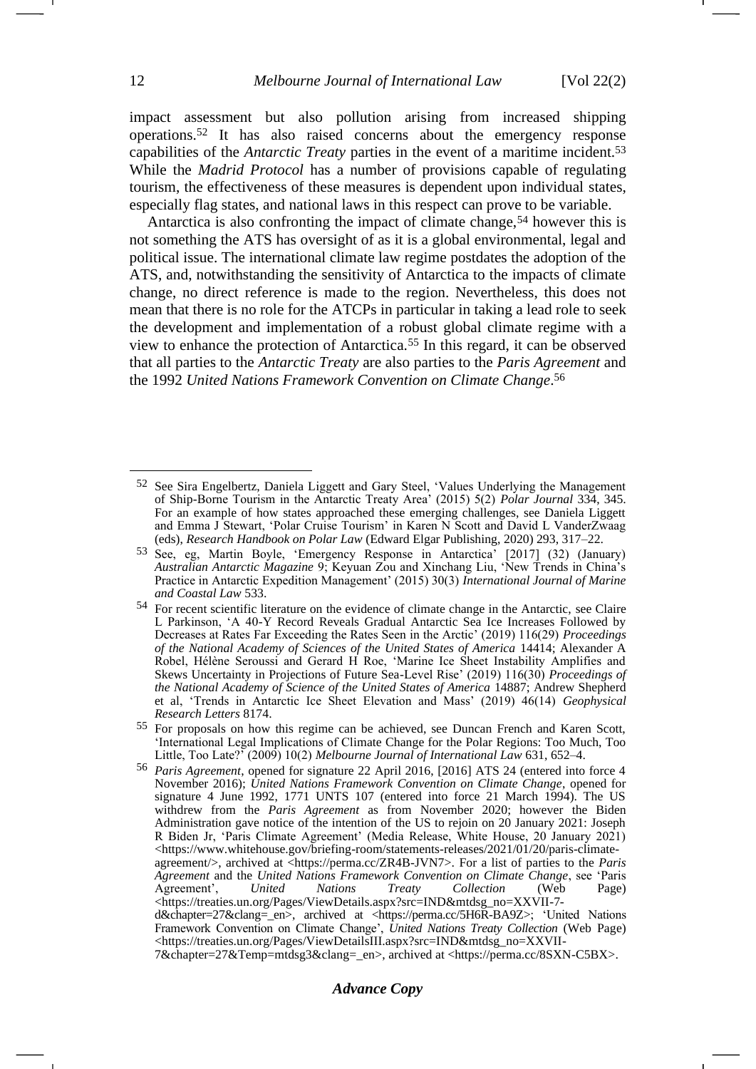impact assessment but also pollution arising from increased shipping operations.<sup>52</sup> It has also raised concerns about the emergency response capabilities of the *Antarctic Treaty* parties in the event of a maritime incident.<sup>53</sup> While the *Madrid Protocol* has a number of provisions capable of regulating tourism, the effectiveness of these measures is dependent upon individual states, especially flag states, and national laws in this respect can prove to be variable.

Antarctica is also confronting the impact of climate change,  $54$  however this is not something the ATS has oversight of as it is a global environmental, legal and political issue. The international climate law regime postdates the adoption of the ATS, and, notwithstanding the sensitivity of Antarctica to the impacts of climate change, no direct reference is made to the region. Nevertheless, this does not mean that there is no role for the ATCPs in particular in taking a lead role to seek the development and implementation of a robust global climate regime with a view to enhance the protection of Antarctica.<sup>55</sup> In this regard, it can be observed that all parties to the *Antarctic Treaty* are also parties to the *Paris Agreement* and the 1992 *United Nations Framework Convention on Climate Change*. 56

Framework Convention on Climate Change', *United Nations Treaty Collection* (Web Page) [<https://treaties.un.org/Pages/ViewDetailsIII.aspx?src=IND&mtdsg\\_no=XXVII-](https://treaties.un.org/Pages/ViewDetailsIII.aspx?src=IND&mtdsg_no=XXVII-7&chapter=27&Temp=mtdsg3&clang=_en)

[7&chapter=27&Temp=mtdsg3&clang=\\_en>](https://treaties.un.org/Pages/ViewDetailsIII.aspx?src=IND&mtdsg_no=XXVII-7&chapter=27&Temp=mtdsg3&clang=_en), archived at <https://perma.cc/8SXN-C5BX>.

<sup>52</sup> See Sira Engelbertz, Daniela Liggett and Gary Steel, 'Values Underlying the Management of Ship-Borne Tourism in the Antarctic Treaty Area' (2015) 5(2) *Polar Journal* 334, 345. For an example of how states approached these emerging challenges, see Daniela Liggett and Emma J Stewart, 'Polar Cruise Tourism' in Karen N Scott and David L VanderZwaag (eds), *Research Handbook on Polar Law* (Edward Elgar Publishing, 2020) 293, 317–22.

<sup>53</sup> See, eg, Martin Boyle, 'Emergency Response in Antarctica' [2017] (32) (January) *Australian Antarctic Magazine* 9; Keyuan Zou and Xinchang Liu, 'New Trends in China's Practice in Antarctic Expedition Management' (2015) 30(3) *International Journal of Marine and Coastal Law* 533.

<sup>54</sup> For recent scientific literature on the evidence of climate change in the Antarctic, see Claire L Parkinson, 'A 40-Y Record Reveals Gradual Antarctic Sea Ice Increases Followed by Decreases at Rates Far Exceeding the Rates Seen in the Arctic' (2019) 116(29) *Proceedings of the National Academy of Sciences of the United States of America* 14414; Alexander A Robel, Hélène Seroussi and Gerard H Roe, 'Marine Ice Sheet Instability Amplifies and Skews Uncertainty in Projections of Future Sea-Level Rise' (2019) 116(30) *Proceedings of the National Academy of Science of the United States of America* 14887; Andrew Shepherd et al, 'Trends in Antarctic Ice Sheet Elevation and Mass' (2019) 46(14) *Geophysical Research Letters* 8174.

<sup>55</sup> For proposals on how this regime can be achieved, see Duncan French and Karen Scott, 'International Legal Implications of Climate Change for the Polar Regions: Too Much, Too Little, Too Late?' (2009) 10(2) *Melbourne Journal of International Law* 631, 652–4.

<sup>56</sup> *Paris Agreement*, opened for signature 22 April 2016, [2016] ATS 24 (entered into force 4 November 2016); *United Nations Framework Convention on Climate Change*, opened for signature 4 June 1992, 1771 UNTS 107 (entered into force 21 March 1994). The US withdrew from the *Paris Agreement* as from November 2020; however the Biden Administration gave notice of the intention of the US to rejoin on 20 January 2021: Joseph R Biden Jr, 'Paris Climate Agreement' (Media Release, White House, 20 January 2021) <https://www.whitehouse.gov/briefing-room/statements-releases/2021/01/20/paris-climateagreement/>, archived at <https://perma.cc/ZR4B-JVN7>. For a list of parties to the *Paris Agreement* and the *United Nations Framework Convention on Climate Change*, see 'Paris Agreement', <https://treaties.un.org/Pages/ViewDetails.aspx?src=IND&mtdsg\_no=XXVII-7 d&chapter=27&clang=\_en>, archived at <https://perma.cc/5H6R-BA9Z>; 'United Nations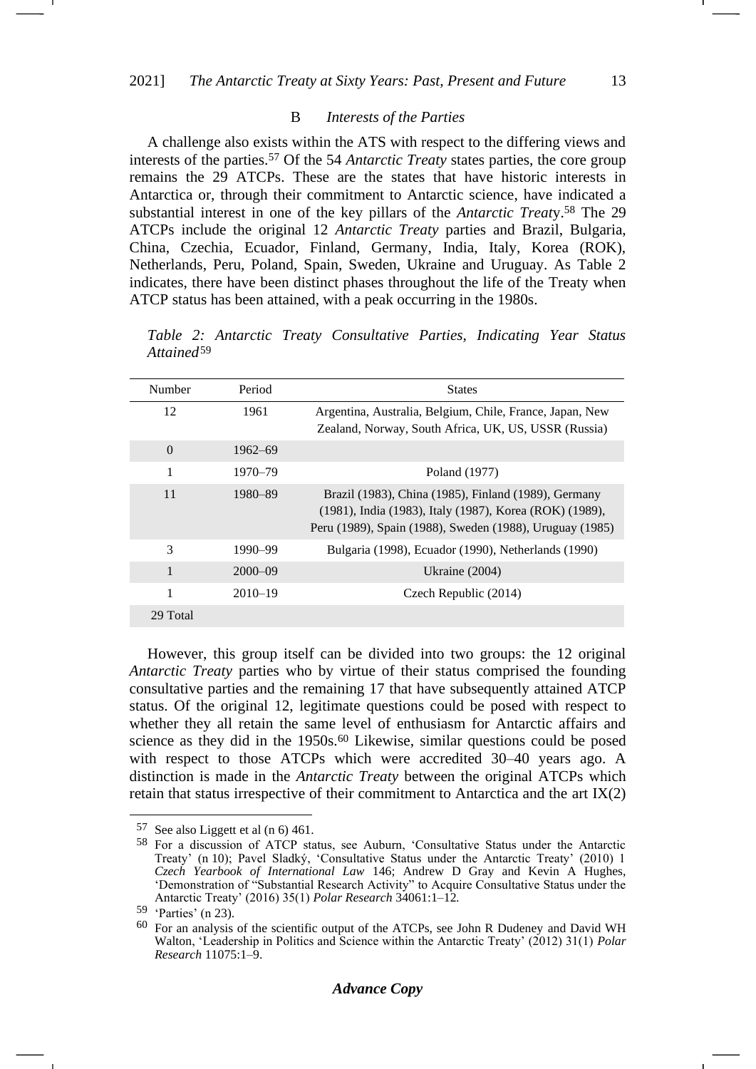#### B *Interests of the Parties*

A challenge also exists within the ATS with respect to the differing views and interests of the parties.<sup>57</sup> Of the 54 *Antarctic Treaty* states parties, the core group remains the 29 ATCPs. These are the states that have historic interests in Antarctica or, through their commitment to Antarctic science, have indicated a substantial interest in one of the key pillars of the *Antarctic Treat*y.<sup>58</sup> The 29 ATCPs include the original 12 *Antarctic Treaty* parties and Brazil, Bulgaria, China, Czechia, Ecuador, Finland, Germany, India, Italy, Korea (ROK), Netherlands, Peru, Poland, Spain, Sweden, Ukraine and Uruguay. As Table 2 indicates, there have been distinct phases throughout the life of the Treaty when ATCP status has been attained, with a peak occurring in the 1980s.

*Table 2: Antarctic Treaty Consultative Parties, Indicating Year Status Attained*<sup>59</sup>

| Number       | Period      | <b>States</b>                                                                                                                                                               |
|--------------|-------------|-----------------------------------------------------------------------------------------------------------------------------------------------------------------------------|
| 12           | 1961        | Argentina, Australia, Belgium, Chile, France, Japan, New<br>Zealand, Norway, South Africa, UK, US, USSR (Russia)                                                            |
| $\Omega$     | 1962–69     |                                                                                                                                                                             |
| 1            | $1970 - 79$ | Poland (1977)                                                                                                                                                               |
| 11           | 1980–89     | Brazil (1983), China (1985), Finland (1989), Germany<br>(1981), India (1983), Italy (1987), Korea (ROK) (1989),<br>Peru (1989), Spain (1988), Sweden (1988), Uruguay (1985) |
| 3            | 1990-99     | Bulgaria (1998), Ecuador (1990), Netherlands (1990)                                                                                                                         |
| $\mathbf{1}$ | $2000 - 09$ | Ukraine (2004)                                                                                                                                                              |
| 1            | $2010 - 19$ | Czech Republic (2014)                                                                                                                                                       |
| 29 Total     |             |                                                                                                                                                                             |

However, this group itself can be divided into two groups: the 12 original *Antarctic Treaty* parties who by virtue of their status comprised the founding consultative parties and the remaining 17 that have subsequently attained ATCP status. Of the original 12, legitimate questions could be posed with respect to whether they all retain the same level of enthusiasm for Antarctic affairs and science as they did in the 1950s.<sup>60</sup> Likewise, similar questions could be posed with respect to those ATCPs which were accredited 30–40 years ago. A distinction is made in the *Antarctic Treaty* between the original ATCPs which retain that status irrespective of their commitment to Antarctica and the art IX(2)

<sup>57</sup> See also Liggett et al (n [6\)](#page-1-1) 461.

<sup>58</sup> For a discussion of ATCP status, see Auburn, 'Consultative Status under the Antarctic Treaty' (n [10\)](#page-2-1); Pavel Sladký, 'Consultative Status under the Antarctic Treaty' (2010) 1 *Czech Yearbook of International Law* 146; Andrew D Gray and Kevin A Hughes, 'Demonstration of "Substantial Research Activity" to Acquire Consultative Status under the Antarctic Treaty' (2016) 35(1) *Polar Research* 34061:1–12*.*

<sup>59</sup> 'Parties' (n [23\)](#page-5-0).

<sup>60</sup> For an analysis of the scientific output of the ATCPs, see John R Dudeney and David WH Walton, 'Leadership in Politics and Science within the Antarctic Treaty' (2012) 31(1) *Polar Research* 11075:1–9.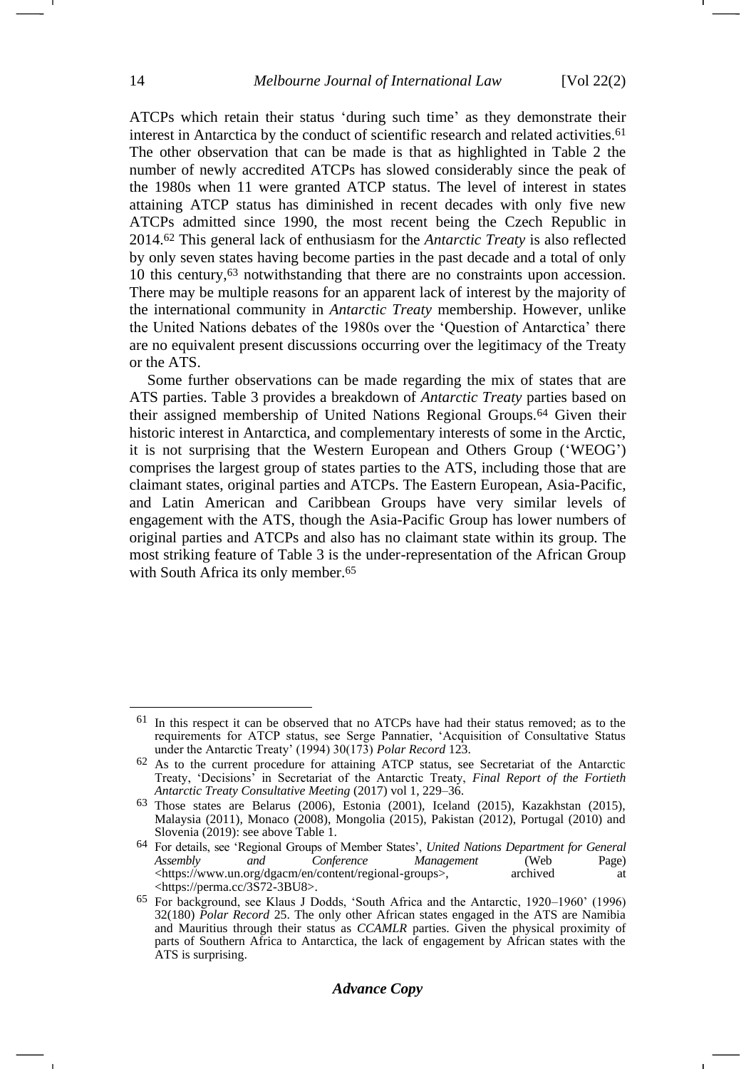-

ATCPs which retain their status 'during such time' as they demonstrate their interest in Antarctica by the conduct of scientific research and related activities.<sup>61</sup> The other observation that can be made is that as highlighted in Table 2 the number of newly accredited ATCPs has slowed considerably since the peak of the 1980s when 11 were granted ATCP status. The level of interest in states attaining ATCP status has diminished in recent decades with only five new ATCPs admitted since 1990, the most recent being the Czech Republic in 2014.<sup>62</sup> This general lack of enthusiasm for the *Antarctic Treaty* is also reflected by only seven states having become parties in the past decade and a total of only 10 this century,<sup>63</sup> notwithstanding that there are no constraints upon accession. There may be multiple reasons for an apparent lack of interest by the majority of the international community in *Antarctic Treaty* membership. However, unlike the United Nations debates of the 1980s over the 'Question of Antarctica' there are no equivalent present discussions occurring over the legitimacy of the Treaty or the ATS.

Some further observations can be made regarding the mix of states that are ATS parties. Table 3 provides a breakdown of *Antarctic Treaty* parties based on their assigned membership of United Nations Regional Groups.<sup>64</sup> Given their historic interest in Antarctica, and complementary interests of some in the Arctic, it is not surprising that the Western European and Others Group ('WEOG') comprises the largest group of states parties to the ATS, including those that are claimant states, original parties and ATCPs. The Eastern European, Asia-Pacific, and Latin American and Caribbean Groups have very similar levels of engagement with the ATS, though the Asia-Pacific Group has lower numbers of original parties and ATCPs and also has no claimant state within its group. The most striking feature of Table 3 is the under-representation of the African Group with South Africa its only member.<sup>65</sup>

 $61$  In this respect it can be observed that no ATCPs have had their status removed; as to the requirements for ATCP status, see Serge Pannatier, 'Acquisition of Consultative Status under the Antarctic Treaty' (1994) 30(173) *Polar Record* 123.

<sup>62</sup> As to the current procedure for attaining ATCP status, see Secretariat of the Antarctic Treaty, 'Decisions' in Secretariat of the Antarctic Treaty, *Final Report of the Fortieth Antarctic Treaty Consultative Meeting* (2017) vol 1, 229–36.

<sup>63</sup> Those states are Belarus (2006), Estonia (2001), Iceland (2015), Kazakhstan (2015), Malaysia (2011), Monaco (2008), Mongolia (2015), Pakistan (2012), Portugal (2010) and Slovenia (2019): see above Table 1.

<sup>64</sup> For details, see 'Regional Groups of Member States', *United Nations Department for General Conference Management* (Web *N*content/regional-groups>, archived [<https://www.un.org/dgacm/en/content/regional-groups>](https://www.un.org/dgacm/en/content/regional-groups), archived at <https://perma.cc/3S72-3BU8>.

<sup>65</sup> For background, see Klaus J Dodds, 'South Africa and the Antarctic, 1920–1960' (1996) 32(180) *Polar Record* 25. The only other African states engaged in the ATS are Namibia and Mauritius through their status as *CCAMLR* parties. Given the physical proximity of parts of Southern Africa to Antarctica, the lack of engagement by African states with the ATS is surprising.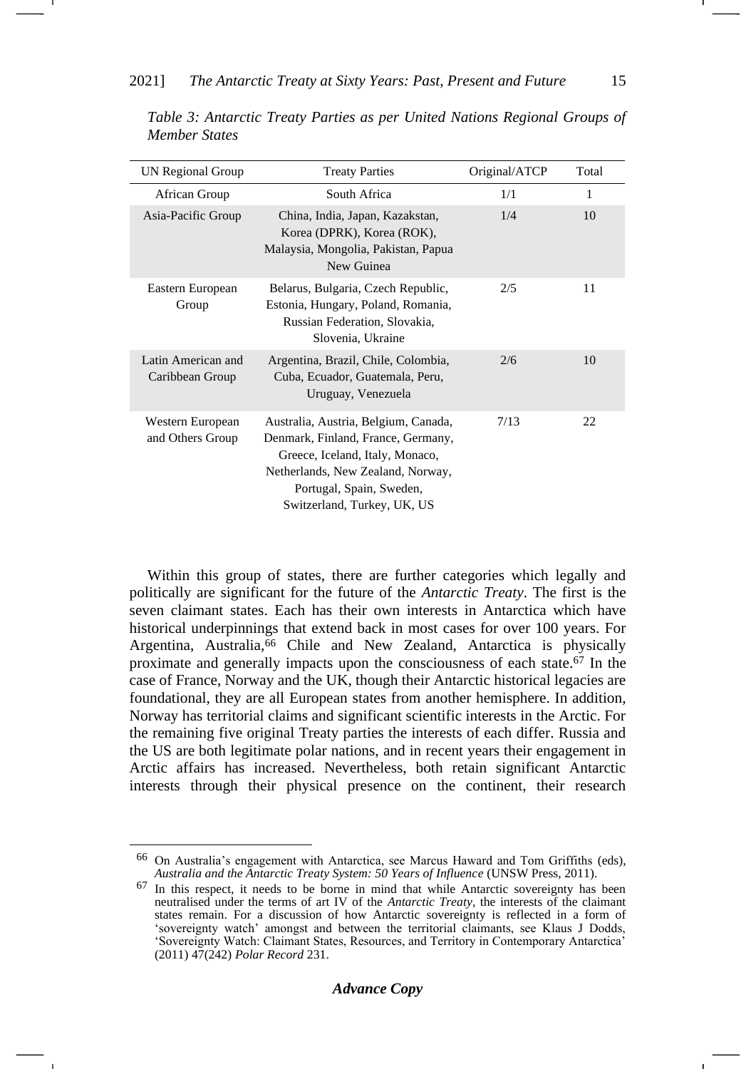| UN Regional Group                     | <b>Treaty Parties</b>                                                                                                                                                                                         | Original/ATCP | Total        |
|---------------------------------------|---------------------------------------------------------------------------------------------------------------------------------------------------------------------------------------------------------------|---------------|--------------|
| African Group                         | South Africa                                                                                                                                                                                                  | 1/1           | $\mathbf{1}$ |
| Asia-Pacific Group                    | China, India, Japan, Kazakstan,<br>Korea (DPRK), Korea (ROK),<br>Malaysia, Mongolia, Pakistan, Papua<br>New Guinea                                                                                            | 1/4           | 10           |
| Eastern European<br>Group             | Belarus, Bulgaria, Czech Republic,<br>Estonia, Hungary, Poland, Romania,<br>Russian Federation, Slovakia,<br>Slovenia, Ukraine                                                                                | 2/5           | 11           |
| Latin American and<br>Caribbean Group | Argentina, Brazil, Chile, Colombia,<br>Cuba, Ecuador, Guatemala, Peru,<br>Uruguay, Venezuela                                                                                                                  | 2/6           | 10           |
| Western European<br>and Others Group  | Australia, Austria, Belgium, Canada,<br>Denmark, Finland, France, Germany,<br>Greece, Iceland, Italy, Monaco,<br>Netherlands, New Zealand, Norway,<br>Portugal, Spain, Sweden,<br>Switzerland, Turkey, UK, US | 7/13          | 22           |

*Table 3: Antarctic Treaty Parties as per United Nations Regional Groups of Member States*

Within this group of states, there are further categories which legally and politically are significant for the future of the *Antarctic Treaty*. The first is the seven claimant states. Each has their own interests in Antarctica which have historical underpinnings that extend back in most cases for over 100 years. For Argentina, Australia,<sup>66</sup> Chile and New Zealand, Antarctica is physically proximate and generally impacts upon the consciousness of each state.<sup>67</sup> In the case of France, Norway and the UK, though their Antarctic historical legacies are foundational, they are all European states from another hemisphere. In addition, Norway has territorial claims and significant scientific interests in the Arctic. For the remaining five original Treaty parties the interests of each differ. Russia and the US are both legitimate polar nations, and in recent years their engagement in Arctic affairs has increased. Nevertheless, both retain significant Antarctic interests through their physical presence on the continent, their research

<sup>66</sup> On Australia's engagement with Antarctica, see Marcus Haward and Tom Griffiths (eds), *Australia and the Antarctic Treaty System: 50 Years of Influence* (UNSW Press, 2011).

<sup>67</sup> In this respect, it needs to be borne in mind that while Antarctic sovereignty has been neutralised under the terms of art IV of the *Antarctic Treaty*, the interests of the claimant states remain. For a discussion of how Antarctic sovereignty is reflected in a form of 'sovereignty watch' amongst and between the territorial claimants, see Klaus J Dodds, 'Sovereignty Watch: Claimant States, Resources, and Territory in Contemporary Antarctica' (2011) 47(242) *Polar Record* 231.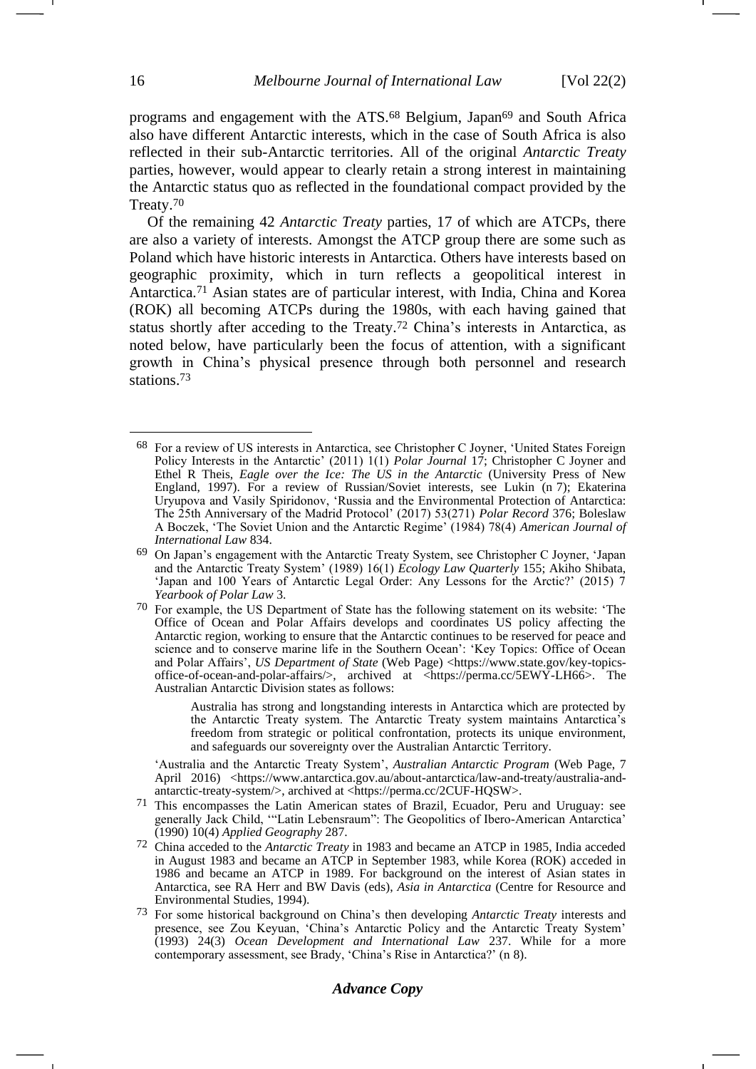programs and engagement with the ATS.<sup>68</sup> Belgium, Japan<sup>69</sup> and South Africa also have different Antarctic interests, which in the case of South Africa is also reflected in their sub-Antarctic territories. All of the original *Antarctic Treaty* parties, however, would appear to clearly retain a strong interest in maintaining the Antarctic status quo as reflected in the foundational compact provided by the Treaty.<sup>70</sup>

Of the remaining 42 *Antarctic Treaty* parties, 17 of which are ATCPs, there are also a variety of interests. Amongst the ATCP group there are some such as Poland which have historic interests in Antarctica. Others have interests based on geographic proximity, which in turn reflects a geopolitical interest in Antarctica.<sup>71</sup> Asian states are of particular interest, with India, China and Korea (ROK) all becoming ATCPs during the 1980s, with each having gained that status shortly after acceding to the Treaty.<sup>72</sup> China's interests in Antarctica, as noted below, have particularly been the focus of attention, with a significant growth in China's physical presence through both personnel and research stations.<sup>73</sup>

Australia has strong and longstanding interests in Antarctica which are protected by the Antarctic Treaty system. The Antarctic Treaty system maintains Antarctica's freedom from strategic or political confrontation, protects its unique environment, and safeguards our sovereignty over the Australian Antarctic Territory.

'Australia and the Antarctic Treaty System', *Australian Antarctic Program* (Web Page, 7 April 2016) <https://www.antarctica.gov.au/about-antarctica/law-and-treaty/australia-andantarctic-treaty-system/>, archived at <https://perma.cc/2CUF-HQSW>.

- 71 This encompasses the Latin American states of Brazil, Ecuador, Peru and Uruguay: see generally Jack Child, '"Latin Lebensraum": The Geopolitics of Ibero-American Antarctica' (1990) 10(4) *Applied Geography* 287.
- 72 China acceded to the *Antarctic Treaty* in 1983 and became an ATCP in 1985, India acceded in August 1983 and became an ATCP in September 1983, while Korea (ROK) acceded in 1986 and became an ATCP in 1989. For background on the interest of Asian states in Antarctica, see RA Herr and BW Davis (eds), *Asia in Antarctica* (Centre for Resource and Environmental Studies, 1994).
- 73 For some historical background on China's then developing *Antarctic Treaty* interests and presence, see Zou Keyuan, 'China's Antarctic Policy and the Antarctic Treaty System' (1993) 24(3) *Ocean Development and International Law* 237. While for a more contemporary assessment, see Brady, 'China's Rise in Antarctica?' (n [8\)](#page-2-3).

<span id="page-15-0"></span><sup>68</sup> For a review of US interests in Antarctica, see Christopher C Joyner, 'United States Foreign Policy Interests in the Antarctic' (2011) 1(1) *Polar Journal* 17; Christopher C Joyner and Ethel R Theis, *Eagle over the Ice: The US in the Antarctic* (University Press of New England, 1997). For a review of Russian/Soviet interests, see Lukin (n [7\)](#page-2-2); Ekaterina Uryupova and Vasily Spiridonov, 'Russia and the Environmental Protection of Antarctica: The 25th Anniversary of the Madrid Protocol' (2017) 53(271) *Polar Record* 376; Boleslaw A Boczek, 'The Soviet Union and the Antarctic Regime' (1984) 78(4) *American Journal of International Law* 834.

<sup>69</sup> On Japan's engagement with the Antarctic Treaty System, see Christopher C Joyner, 'Japan and the Antarctic Treaty System' (1989) 16(1) *Ecology Law Quarterly* 155; Akiho Shibata, 'Japan and 100 Years of Antarctic Legal Order: Any Lessons for the Arctic?' (2015) 7 *Yearbook of Polar Law* 3.

<sup>70</sup> For example, the US Department of State has the following statement on its website: 'The Office of Ocean and Polar Affairs develops and coordinates US policy affecting the Antarctic region, working to ensure that the Antarctic continues to be reserved for peace and science and to conserve marine life in the Southern Ocean': 'Key Topics: Office of Ocean and Polar Affairs', *US Department of State* (Web Page) <https://www.state.gov/key-topicsoffice-of-ocean-and-polar-affairs/>, archived at <https://perma.cc/5EWY-LH66>. The Australian Antarctic Division states as follows: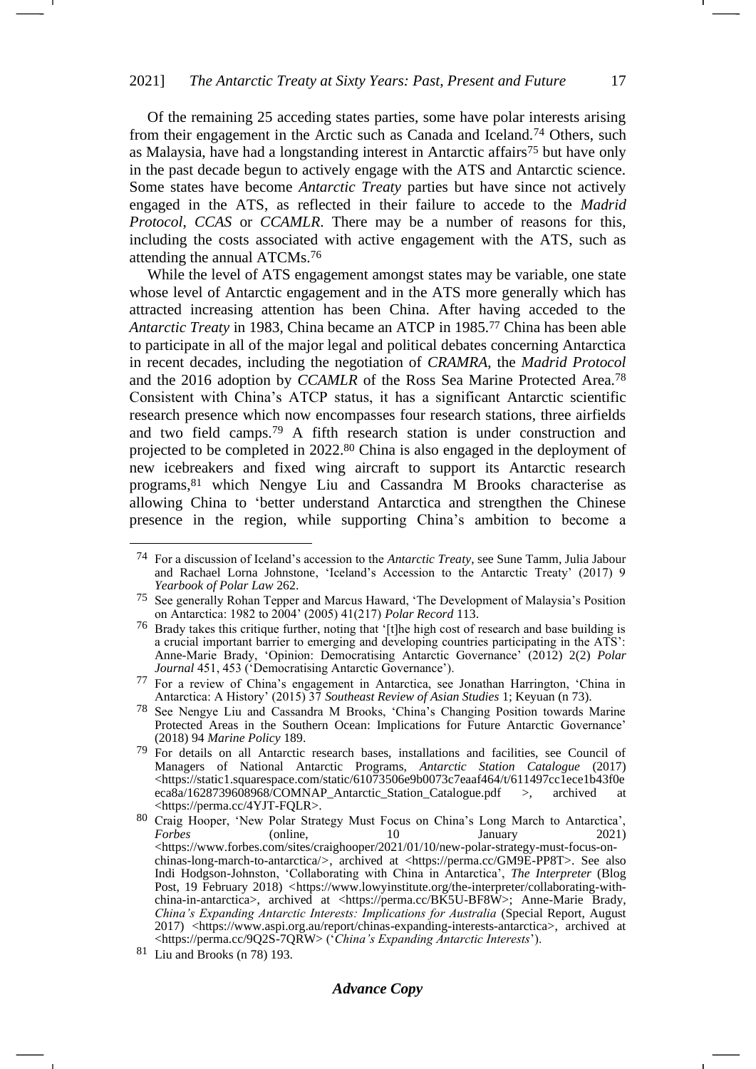Of the remaining 25 acceding states parties, some have polar interests arising from their engagement in the Arctic such as Canada and Iceland.<sup>74</sup> Others, such as Malaysia, have had a longstanding interest in Antarctic affairs<sup>75</sup> but have only in the past decade begun to actively engage with the ATS and Antarctic science. Some states have become *Antarctic Treaty* parties but have since not actively engaged in the ATS, as reflected in their failure to accede to the *Madrid Protocol*, *CCAS* or *CCAMLR*. There may be a number of reasons for this, including the costs associated with active engagement with the ATS, such as attending the annual ATCMs.<sup>76</sup>

<span id="page-16-2"></span>While the level of ATS engagement amongst states may be variable, one state whose level of Antarctic engagement and in the ATS more generally which has attracted increasing attention has been China. After having acceded to the *Antarctic Treaty* in 1983, China became an ATCP in 1985.<sup>77</sup> China has been able to participate in all of the major legal and political debates concerning Antarctica in recent decades, including the negotiation of *CRAMRA*, the *Madrid Protocol* and the 2016 adoption by *CCAMLR* of the Ross Sea Marine Protected Area.<sup>78</sup> Consistent with China's ATCP status, it has a significant Antarctic scientific research presence which now encompasses four research stations, three airfields and two field camps.<sup>79</sup> A fifth research station is under construction and projected to be completed in 2022.<sup>80</sup> China is also engaged in the deployment of new icebreakers and fixed wing aircraft to support its Antarctic research programs,<sup>81</sup> which Nengye Liu and Cassandra M Brooks characterise as allowing China to 'better understand Antarctica and strengthen the Chinese presence in the region, while supporting China's ambition to become a <span id="page-16-0"></span>-1

<span id="page-16-1"></span><sup>74</sup> For a discussion of Iceland's accession to the *Antarctic Treaty*, see Sune Tamm, Julia Jabour and Rachael Lorna Johnstone, 'Iceland's Accession to the Antarctic Treaty' (2017) 9 *Yearbook of Polar Law* 262.

<sup>75</sup> See generally Rohan Tepper and Marcus Haward, 'The Development of Malaysia's Position on Antarctica: 1982 to 2004' (2005) 41(217) *Polar Record* 113.

<sup>76</sup> Brady takes this critique further, noting that '[t]he high cost of research and base building is a crucial important barrier to emerging and developing countries participating in the ATS': Anne-Marie Brady, 'Opinion: Democratising Antarctic Governance' (2012) 2(2) *Polar Journal* 451, 453 ('Democratising Antarctic Governance').

<sup>77</sup> For a review of China's engagement in Antarctica, see Jonathan Harrington, 'China in Antarctica: A History' (2015) 37 *Southeast Review of Asian Studies* 1; Keyuan (n [73\)](#page-15-0).

<sup>78</sup> See Nengye Liu and Cassandra M Brooks, 'China's Changing Position towards Marine Protected Areas in the Southern Ocean: Implications for Future Antarctic Governance' (2018) 94 *Marine Policy* 189.

<sup>79</sup> For details on all Antarctic research bases, installations and facilities, see Council of Managers of National Antarctic Programs, *Antarctic Station Catalogue* (2017) <https://static1.squarespace.com/static/61073506e9b0073c7eaaf464/t/611497cc1ece1b43f0e eca8a/1628739608968/COMNAP\_Antarctic\_Station\_Catalogue.pdf >, archived at <https://perma.cc/4YJT-FQLR>.

<sup>80</sup> Craig Hooper, 'New Polar Strategy Must Focus on China's Long March to Antarctica', *Forbes* (online, 10 January 2021)  $\langle$ https://www.forbes.com/sites/craighooper/2021/01/10/new-polar-strategy-must-focus-onchinas-long-march-to-antarctica/*>*, archived at <https://perma.cc/GM9E-PP8T>. See also Indi Hodgson-Johnston, 'Collaborating with China in Antarctica', *The Interpreter* (Blog Post, 19 February 2018) *<*https://www.lowyinstitute.org/the-interpreter/collaborating-withchina-in-antarctica>, archived at <https://perma.cc/BK5U-BF8W>; Anne-Marie Brady, *China's Expanding Antarctic Interests: Implications for Australia* (Special Report, August 2017) <https://www.aspi.org.au/report/chinas-expanding-interests-antarctica>, archived at <https://perma.cc/9Q2S-7QRW> ('*China's Expanding Antarctic Interests*').

<sup>81</sup> Liu and Brooks (n [78\)](#page-16-0) 193.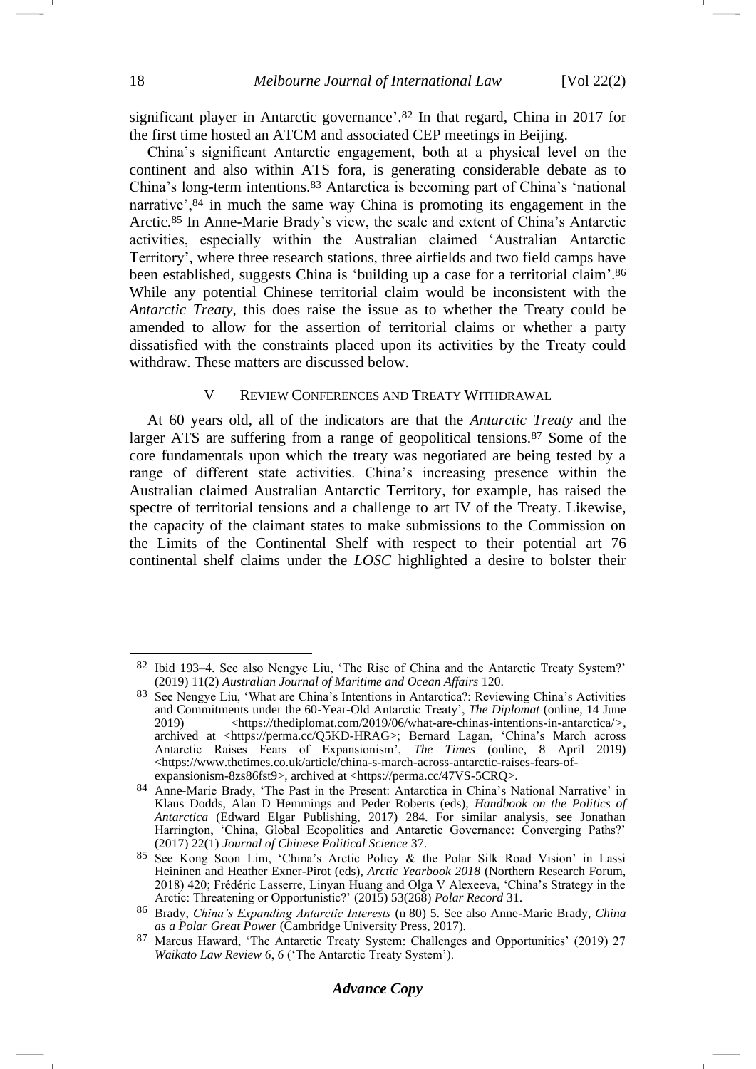<span id="page-17-1"></span>significant player in Antarctic governance'. <sup>82</sup> In that regard, China in 2017 for the first time hosted an ATCM and associated CEP meetings in Beijing.

China's significant Antarctic engagement, both at a physical level on the continent and also within ATS fora, is generating considerable debate as to China's long-term intentions.<sup>83</sup> Antarctica is becoming part of China's 'national narrative',<sup>84</sup> in much the same way China is promoting its engagement in the Arctic.<sup>85</sup> In Anne-Marie Brady's view, the scale and extent of China's Antarctic activities, especially within the Australian claimed 'Australian Antarctic Territory', where three research stations, three airfields and two field camps have been established, suggests China is 'building up a case for a territorial claim'. 86 While any potential Chinese territorial claim would be inconsistent with the *Antarctic Treaty*, this does raise the issue as to whether the Treaty could be amended to allow for the assertion of territorial claims or whether a party dissatisfied with the constraints placed upon its activities by the Treaty could withdraw. These matters are discussed below.

#### <span id="page-17-0"></span>V REVIEW CONFERENCES AND TREATY WITHDRAWAL

At 60 years old, all of the indicators are that the *Antarctic Treaty* and the larger ATS are suffering from a range of geopolitical tensions.<sup>87</sup> Some of the core fundamentals upon which the treaty was negotiated are being tested by a range of different state activities. China's increasing presence within the Australian claimed Australian Antarctic Territory, for example, has raised the spectre of territorial tensions and a challenge to art IV of the Treaty. Likewise, the capacity of the claimant states to make submissions to the Commission on the Limits of the Continental Shelf with respect to their potential art 76 continental shelf claims under the *LOSC* highlighted a desire to bolster their

<sup>82</sup> Ibid 193–4. See also Nengye Liu, 'The Rise of China and the Antarctic Treaty System?' (2019) 11(2) *Australian Journal of Maritime and Ocean Affairs* 120.

<sup>83</sup> See Nengye Liu, 'What are China's Intentions in Antarctica?: Reviewing China's Activities and Commitments under the 60-Year-Old Antarctic Treaty', *The Diplomat* (online, 14 June 2019) <https://thediplomat.com/2019/06/what-are-chinas-intentions-in-antarctica/*>*, archived at <https://perma.cc/Q5KD-HRAG>; Bernard Lagan, 'China's March across Antarctic Raises Fears of Expansionism', *The Times* (online, 8 April 2019) <https://www.thetimes.co.uk/article/china-s-march-across-antarctic-raises-fears-ofexpansionism-8zs86fst9>, archived at <https://perma.cc/47VS-5CRQ>.

<sup>84</sup> Anne-Marie Brady, 'The Past in the Present: Antarctica in China's National Narrative' in Klaus Dodds, Alan D Hemmings and Peder Roberts (eds), *Handbook on the Politics of Antarctica* (Edward Elgar Publishing, 2017) 284. For similar analysis, see Jonathan Harrington, 'China, Global Ecopolitics and Antarctic Governance: Converging Paths?' (2017) 22(1) *Journal of Chinese Political Science* 37.

<sup>85</sup> See Kong Soon Lim, 'China's Arctic Policy & the Polar Silk Road Vision' in Lassi Heininen and Heather Exner-Pirot (eds), *Arctic Yearbook 2018* (Northern Research Forum, 2018) 420; Frédéric Lasserre, Linyan Huang and Olga V Alexeeva, 'China's Strategy in the Arctic: Threatening or Opportunistic?' (2015) 53(268) *Polar Record* 31.

<sup>86</sup> Brady, *China's Expanding Antarctic Interests* (n [80\)](#page-16-1) 5. See also Anne-Marie Brady, *China as a Polar Great Power* (Cambridge University Press, 2017).

<sup>87</sup> Marcus Haward, 'The Antarctic Treaty System: Challenges and Opportunities' (2019) 27 *Waikato Law Review* 6, 6 ('The Antarctic Treaty System').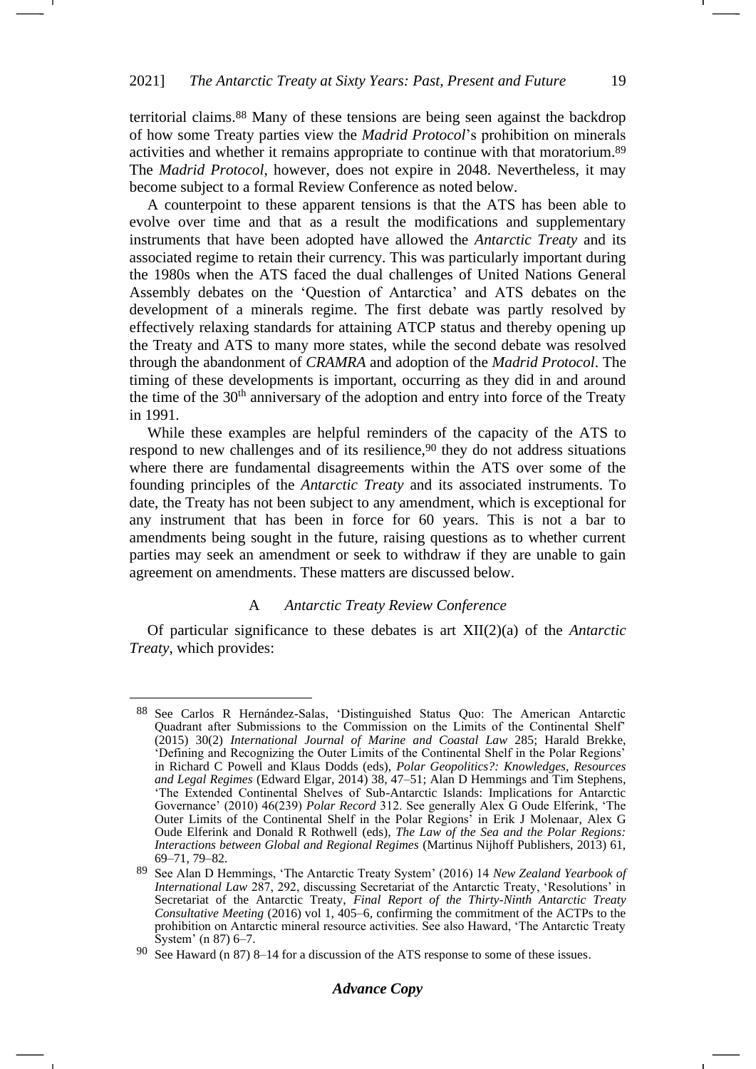territorial claims.<sup>88</sup> Many of these tensions are being seen against the backdrop of how some Treaty parties view the *Madrid Protocol*'s prohibition on minerals activities and whether it remains appropriate to continue with that moratorium.<sup>89</sup> The *Madrid Protocol*, however, does not expire in 2048. Nevertheless, it may become subject to a formal Review Conference as noted below.

A counterpoint to these apparent tensions is that the ATS has been able to evolve over time and that as a result the modifications and supplementary instruments that have been adopted have allowed the *Antarctic Treaty* and its associated regime to retain their currency. This was particularly important during the 1980s when the ATS faced the dual challenges of United Nations General Assembly debates on the 'Question of Antarctica' and ATS debates on the development of a minerals regime. The first debate was partly resolved by effectively relaxing standards for attaining ATCP status and thereby opening up the Treaty and ATS to many more states, while the second debate was resolved through the abandonment of *CRAMRA* and adoption of the *Madrid Protocol*. The timing of these developments is important, occurring as they did in and around the time of the  $30<sup>th</sup>$  anniversary of the adoption and entry into force of the Treaty in 1991.

While these examples are helpful reminders of the capacity of the ATS to respond to new challenges and of its resilience,  $90$  they do not address situations where there are fundamental disagreements within the ATS over some of the founding principles of the *Antarctic Treaty* and its associated instruments. To date, the Treaty has not been subject to any amendment, which is exceptional for any instrument that has been in force for 60 years. This is not a bar to amendments being sought in the future, raising questions as to whether current parties may seek an amendment or seek to withdraw if they are unable to gain agreement on amendments. These matters are discussed below.

## A *Antarctic Treaty Review Conference*

Of particular significance to these debates is art XII(2)(a) of the *Antarctic Treaty*, which provides:

-

<sup>88</sup> See Carlos R Hernández-Salas, 'Distinguished Status Quo: The American Antarctic Quadrant after Submissions to the Commission on the Limits of the Continental Shelf' (2015) 30(2) *International Journal of Marine and Coastal Law* 285; Harald Brekke, 'Defining and Recognizing the Outer Limits of the Continental Shelf in the Polar Regions' in Richard C Powell and Klaus Dodds (eds), *Polar Geopolitics?: Knowledges, Resources and Legal Regimes* (Edward Elgar, 2014) 38, 47–51; Alan D Hemmings and Tim Stephens, 'The Extended Continental Shelves of Sub-Antarctic Islands: Implications for Antarctic Governance' (2010) 46(239) *Polar Record* 312. See generally Alex G Oude Elferink, 'The Outer Limits of the Continental Shelf in the Polar Regions' in Erik J Molenaar, Alex G Oude Elferink and Donald R Rothwell (eds), *The Law of the Sea and the Polar Regions: Interactions between Global and Regional Regimes* (Martinus Nijhoff Publishers, 2013) 61, 69–71, 79–82.

<sup>89</sup> See Alan D Hemmings, 'The Antarctic Treaty System' (2016) 14 *New Zealand Yearbook of International Law* 287, 292, discussing Secretariat of the Antarctic Treaty, 'Resolutions' in Secretariat of the Antarctic Treaty, *Final Report of the Thirty-Ninth Antarctic Treaty Consultative Meeting* (2016) vol 1, 405–6, confirming the commitment of the ACTPs to the prohibition on Antarctic mineral resource activities. See also Haward, 'The Antarctic Treaty System' (n [87\)](#page-17-0) 6–7.

<sup>90</sup> See Haward (n [87\)](#page-17-0) 8–14 for a discussion of the ATS response to some of these issues.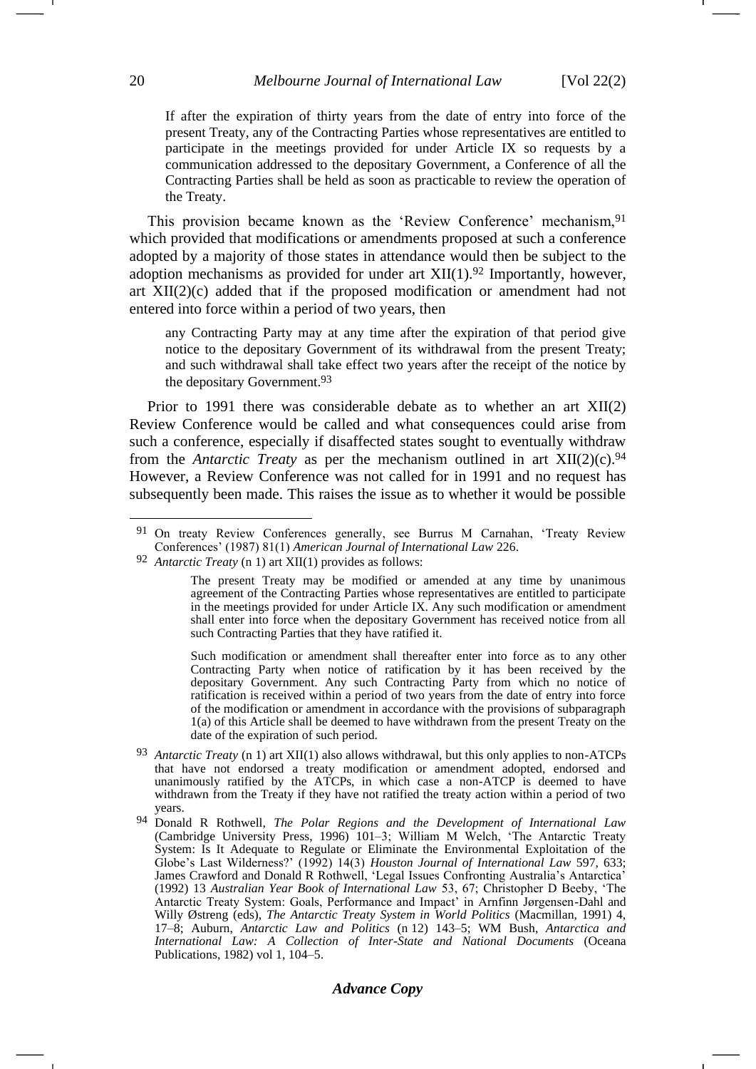If after the expiration of thirty years from the date of entry into force of the present Treaty, any of the Contracting Parties whose representatives are entitled to participate in the meetings provided for under Article IX so requests by a communication addressed to the depositary Government, a Conference of all the Contracting Parties shall be held as soon as practicable to review the operation of the Treaty.

This provision became known as the 'Review Conference' mechanism,<sup>91</sup> which provided that modifications or amendments proposed at such a conference adopted by a majority of those states in attendance would then be subject to the adoption mechanisms as provided for under art  $XII(1).92$  Importantly, however, art XII(2)(c) added that if the proposed modification or amendment had not entered into force within a period of two years, then

any Contracting Party may at any time after the expiration of that period give notice to the depositary Government of its withdrawal from the present Treaty; and such withdrawal shall take effect two years after the receipt of the notice by the depositary Government.93

Prior to 1991 there was considerable debate as to whether an art XII(2) Review Conference would be called and what consequences could arise from such a conference, especially if disaffected states sought to eventually withdraw from the *Antarctic Treaty* as per the mechanism outlined in art XII(2)(c).<sup>94</sup> However, a Review Conference was not called for in 1991 and no request has subsequently been made. This raises the issue as to whether it would be possible

Such modification or amendment shall thereafter enter into force as to any other Contracting Party when notice of ratification by it has been received by the depositary Government. Any such Contracting Party from which no notice of ratification is received within a period of two years from the date of entry into force of the modification or amendment in accordance with the provisions of subparagraph 1(a) of this Article shall be deemed to have withdrawn from the present Treaty on the date of the expiration of such period.

- 93 *Antarctic Treaty* (n [1\)](#page-0-0) art XII(1) also allows withdrawal, but this only applies to non-ATCPs that have not endorsed a treaty modification or amendment adopted, endorsed and unanimously ratified by the ATCPs, in which case a non-ATCP is deemed to have withdrawn from the Treaty if they have not ratified the treaty action within a period of two years.
- 94 Donald R Rothwell, *The Polar Regions and the Development of International Law* (Cambridge University Press, 1996) 101–3; William M Welch, 'The Antarctic Treaty System: Is It Adequate to Regulate or Eliminate the Environmental Exploitation of the Globe's Last Wilderness?' (1992) 14(3) *Houston Journal of International Law* 597, 633; James Crawford and Donald R Rothwell, 'Legal Issues Confronting Australia's Antarctica' (1992) 13 *Australian Year Book of International Law* 53, 67; Christopher D Beeby, 'The Antarctic Treaty System: Goals, Performance and Impact' in Arnfinn Jørgensen-Dahl and Willy Østreng (eds), *The Antarctic Treaty System in World Politics* (Macmillan, 1991) 4, 17–8; Auburn, *Antarctic Law and Politics* (n [12\)](#page-3-0) 143–5; WM Bush, *Antarctica and International Law: A Collection of Inter-State and National Documents* (Oceana Publications, 1982) vol 1, 104–5.

<sup>91</sup> On treaty Review Conferences generally, see Burrus M Carnahan, 'Treaty Review Conferences' (1987) 81(1) *American Journal of International Law* 226.

<sup>92</sup> *Antarctic Treaty* (n [1\)](#page-0-0) art XII(1) provides as follows:

The present Treaty may be modified or amended at any time by unanimous agreement of the Contracting Parties whose representatives are entitled to participate in the meetings provided for under Article IX. Any such modification or amendment shall enter into force when the depositary Government has received notice from all such Contracting Parties that they have ratified it.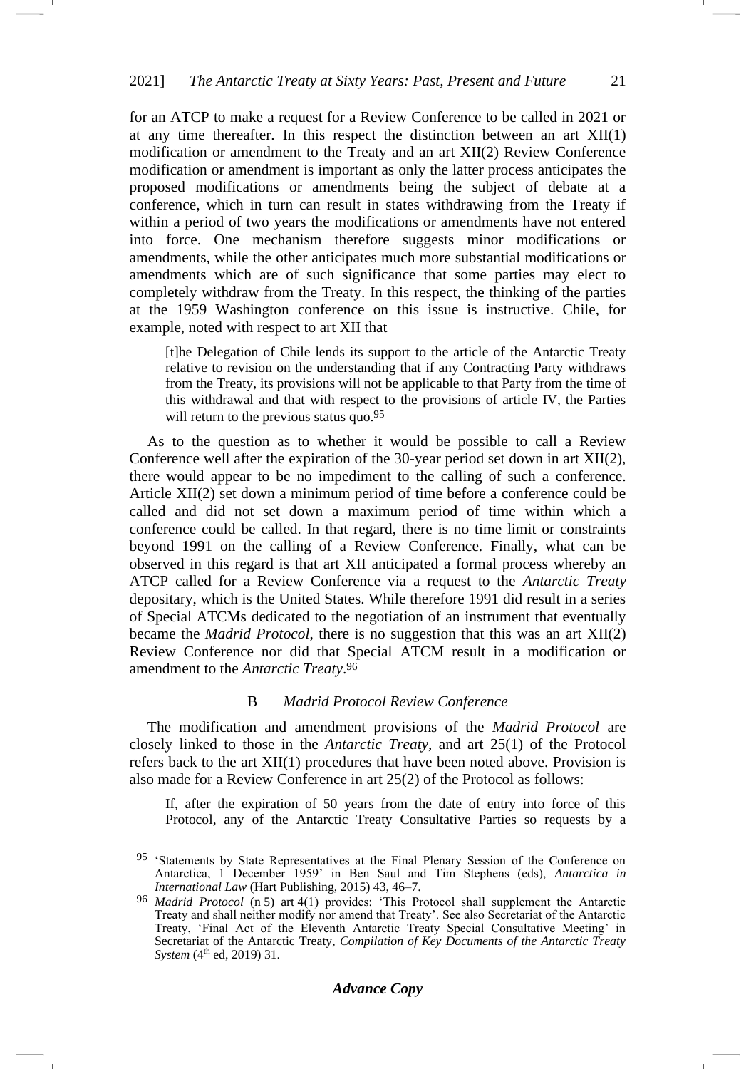for an ATCP to make a request for a Review Conference to be called in 2021 or at any time thereafter. In this respect the distinction between an art XII(1) modification or amendment to the Treaty and an art XII(2) Review Conference modification or amendment is important as only the latter process anticipates the proposed modifications or amendments being the subject of debate at a conference, which in turn can result in states withdrawing from the Treaty if within a period of two years the modifications or amendments have not entered into force. One mechanism therefore suggests minor modifications or amendments, while the other anticipates much more substantial modifications or amendments which are of such significance that some parties may elect to completely withdraw from the Treaty. In this respect, the thinking of the parties at the 1959 Washington conference on this issue is instructive. Chile, for example, noted with respect to art XII that

[t]he Delegation of Chile lends its support to the article of the Antarctic Treaty relative to revision on the understanding that if any Contracting Party withdraws from the Treaty, its provisions will not be applicable to that Party from the time of this withdrawal and that with respect to the provisions of article IV, the Parties will return to the previous status quo.<sup>95</sup>

As to the question as to whether it would be possible to call a Review Conference well after the expiration of the 30-year period set down in art XII(2), there would appear to be no impediment to the calling of such a conference. Article XII(2) set down a minimum period of time before a conference could be called and did not set down a maximum period of time within which a conference could be called. In that regard, there is no time limit or constraints beyond 1991 on the calling of a Review Conference. Finally, what can be observed in this regard is that art XII anticipated a formal process whereby an ATCP called for a Review Conference via a request to the *Antarctic Treaty* depositary, which is the United States. While therefore 1991 did result in a series of Special ATCMs dedicated to the negotiation of an instrument that eventually became the *Madrid Protocol*, there is no suggestion that this was an art XII(2) Review Conference nor did that Special ATCM result in a modification or amendment to the *Antarctic Treaty*. 96

## B *Madrid Protocol Review Conference*

The modification and amendment provisions of the *Madrid Protocol* are closely linked to those in the *Antarctic Treaty*, and art 25(1) of the Protocol refers back to the art XII(1) procedures that have been noted above. Provision is also made for a Review Conference in art 25(2) of the Protocol as follows:

If, after the expiration of 50 years from the date of entry into force of this Protocol, any of the Antarctic Treaty Consultative Parties so requests by a -1

<sup>95</sup> 'Statements by State Representatives at the Final Plenary Session of the Conference on Antarctica, 1 December 1959' in Ben Saul and Tim Stephens (eds), *Antarctica in International Law* (Hart Publishing, 2015) 43, 46–7.

<sup>96</sup> *Madrid Protocol* (n [5\)](#page-1-0) art 4(1) provides: 'This Protocol shall supplement the Antarctic Treaty and shall neither modify nor amend that Treaty'. See also Secretariat of the Antarctic Treaty, 'Final Act of the Eleventh Antarctic Treaty Special Consultative Meeting' in Secretariat of the Antarctic Treaty, *Compilation of Key Documents of the Antarctic Treaty System* (4<sup>th</sup> ed, 2019) 31.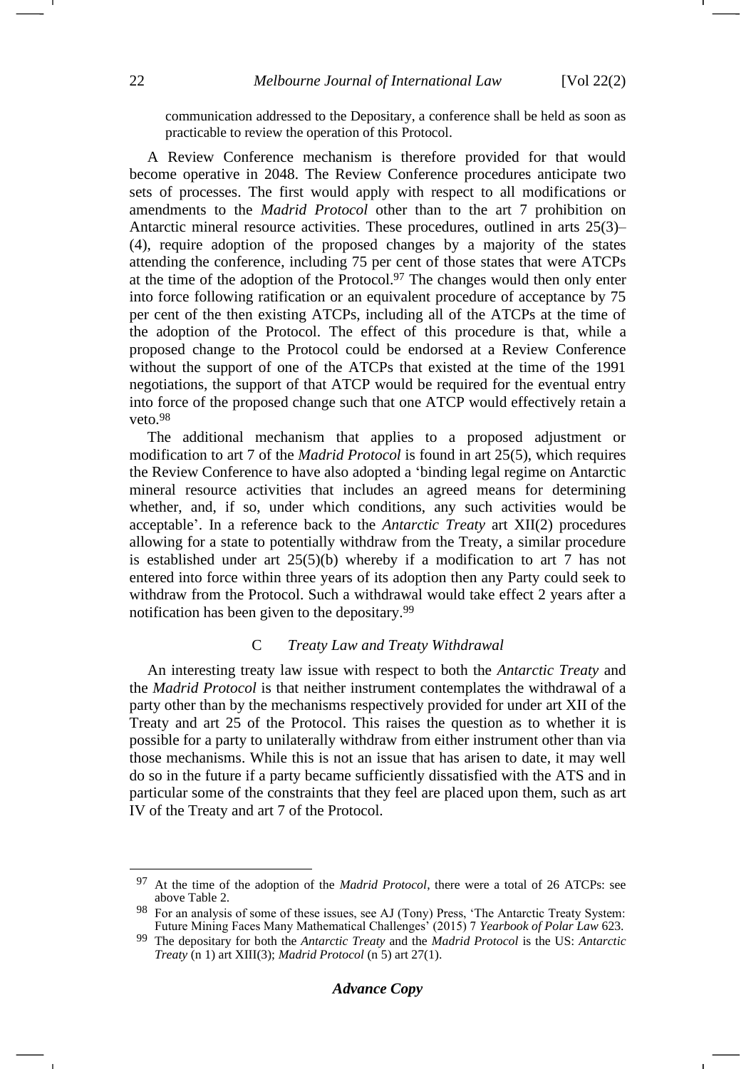communication addressed to the Depositary, a conference shall be held as soon as practicable to review the operation of this Protocol.

A Review Conference mechanism is therefore provided for that would become operative in 2048. The Review Conference procedures anticipate two sets of processes. The first would apply with respect to all modifications or amendments to the *Madrid Protocol* other than to the art 7 prohibition on Antarctic mineral resource activities. These procedures, outlined in arts 25(3)– (4), require adoption of the proposed changes by a majority of the states attending the conference, including 75 per cent of those states that were ATCPs at the time of the adoption of the Protocol.<sup>97</sup> The changes would then only enter into force following ratification or an equivalent procedure of acceptance by 75 per cent of the then existing ATCPs, including all of the ATCPs at the time of the adoption of the Protocol. The effect of this procedure is that, while a proposed change to the Protocol could be endorsed at a Review Conference without the support of one of the ATCPs that existed at the time of the 1991 negotiations, the support of that ATCP would be required for the eventual entry into force of the proposed change such that one ATCP would effectively retain a veto.<sup>98</sup>

The additional mechanism that applies to a proposed adjustment or modification to art 7 of the *Madrid Protocol* is found in art 25(5), which requires the Review Conference to have also adopted a 'binding legal regime on Antarctic mineral resource activities that includes an agreed means for determining whether, and, if so, under which conditions, any such activities would be acceptable'. In a reference back to the *Antarctic Treaty* art XII(2) procedures allowing for a state to potentially withdraw from the Treaty, a similar procedure is established under art 25(5)(b) whereby if a modification to art 7 has not entered into force within three years of its adoption then any Party could seek to withdraw from the Protocol. Such a withdrawal would take effect 2 years after a notification has been given to the depositary.<sup>99</sup>

## C *Treaty Law and Treaty Withdrawal*

An interesting treaty law issue with respect to both the *Antarctic Treaty* and the *Madrid Protocol* is that neither instrument contemplates the withdrawal of a party other than by the mechanisms respectively provided for under art XII of the Treaty and art 25 of the Protocol. This raises the question as to whether it is possible for a party to unilaterally withdraw from either instrument other than via those mechanisms. While this is not an issue that has arisen to date, it may well do so in the future if a party became sufficiently dissatisfied with the ATS and in particular some of the constraints that they feel are placed upon them, such as art IV of the Treaty and art 7 of the Protocol.

<sup>97</sup> At the time of the adoption of the *Madrid Protocol*, there were a total of 26 ATCPs: see above Table 2.

<sup>&</sup>lt;sup>98</sup> For an analysis of some of these issues, see AJ (Tony) Press, 'The Antarctic Treaty System: Future Mining Faces Many Mathematical Challenges' (2015) 7 *Yearbook of Polar Law* 623.

<sup>99</sup> The depositary for both the *Antarctic Treaty* and the *Madrid Protocol* is the US: *Antarctic Treaty* (n [1\)](#page-0-0) art XIII(3); *Madrid Protocol* (n [5\)](#page-1-0) art 27(1).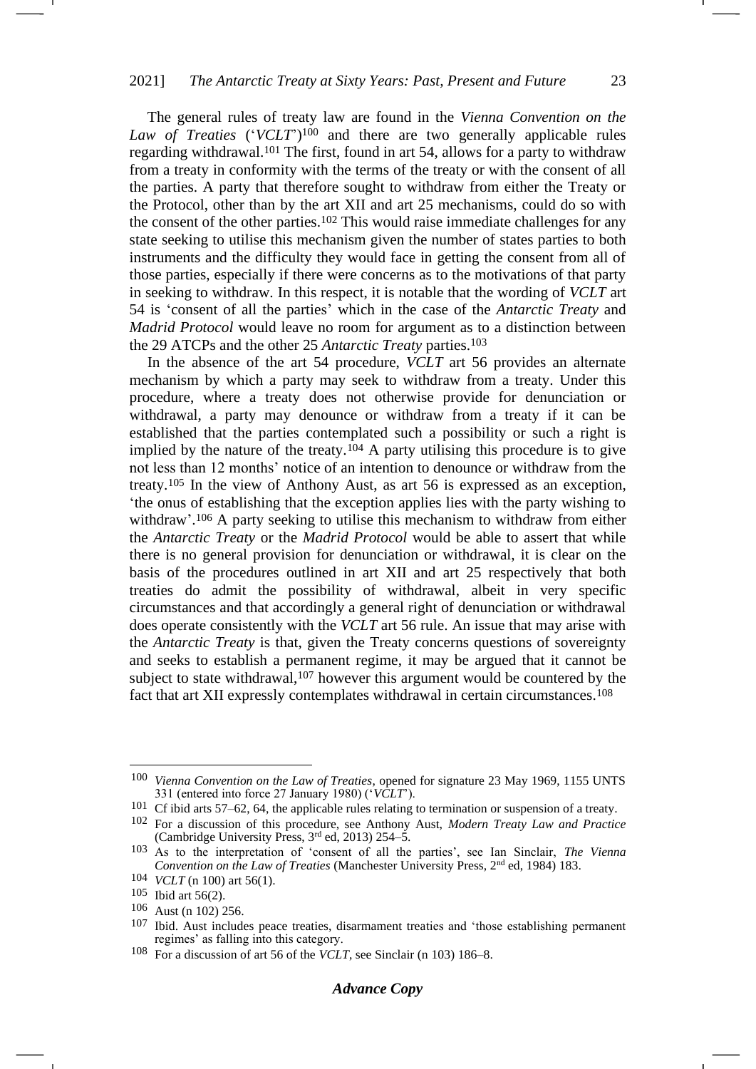<span id="page-22-1"></span><span id="page-22-0"></span>The general rules of treaty law are found in the *Vienna Convention on the Law of Treaties* ('*VCLT*') <sup>100</sup> and there are two generally applicable rules regarding withdrawal.<sup>101</sup> The first, found in art 54, allows for a party to withdraw from a treaty in conformity with the terms of the treaty or with the consent of all the parties. A party that therefore sought to withdraw from either the Treaty or the Protocol, other than by the art XII and art 25 mechanisms, could do so with the consent of the other parties.<sup>102</sup> This would raise immediate challenges for any state seeking to utilise this mechanism given the number of states parties to both instruments and the difficulty they would face in getting the consent from all of those parties, especially if there were concerns as to the motivations of that party in seeking to withdraw. In this respect, it is notable that the wording of *VCLT* art 54 is 'consent of all the parties' which in the case of the *Antarctic Treaty* and *Madrid Protocol* would leave no room for argument as to a distinction between the 29 ATCPs and the other 25 *Antarctic Treaty* parties.<sup>103</sup>

<span id="page-22-2"></span>In the absence of the art 54 procedure, *VCLT* art 56 provides an alternate mechanism by which a party may seek to withdraw from a treaty. Under this procedure, where a treaty does not otherwise provide for denunciation or withdrawal, a party may denounce or withdraw from a treaty if it can be established that the parties contemplated such a possibility or such a right is implied by the nature of the treaty.<sup>104</sup> A party utilising this procedure is to give not less than 12 months' notice of an intention to denounce or withdraw from the treaty.<sup>105</sup> In the view of Anthony Aust, as art 56 is expressed as an exception, 'the onus of establishing that the exception applies lies with the party wishing to withdraw'.<sup>106</sup> A party seeking to utilise this mechanism to withdraw from either the *Antarctic Treaty* or the *Madrid Protocol* would be able to assert that while there is no general provision for denunciation or withdrawal, it is clear on the basis of the procedures outlined in art XII and art 25 respectively that both treaties do admit the possibility of withdrawal, albeit in very specific circumstances and that accordingly a general right of denunciation or withdrawal does operate consistently with the *VCLT* art 56 rule. An issue that may arise with the *Antarctic Treaty* is that, given the Treaty concerns questions of sovereignty and seeks to establish a permanent regime, it may be argued that it cannot be subject to state withdrawal,<sup>107</sup> however this argument would be countered by the fact that art XII expressly contemplates withdrawal in certain circumstances.<sup>108</sup>

<sup>100</sup> *Vienna Convention on the Law of Treaties*, opened for signature 23 May 1969, 1155 UNTS 331 (entered into force 27 January 1980) ('*VCLT*').

<sup>101</sup> Cf ibid arts 57–62, 64, the applicable rules relating to termination or suspension of a treaty.

<sup>102</sup> For a discussion of this procedure, see Anthony Aust, *Modern Treaty Law and Practice* (Cambridge University Press, 3rd ed, 2013) 254–5.

<sup>103</sup> As to the interpretation of 'consent of all the parties', see Ian Sinclair, *The Vienna Convention on the Law of Treaties* (Manchester University Press, 2<sup>nd</sup> ed, 1984) 183.

<sup>104</sup> *VCLT* (n [100\)](#page-22-0) art 56(1).

<sup>105</sup> Ibid art 56(2).

<sup>106</sup> Aust (n [102\)](#page-22-1) 256.

<sup>107</sup> Ibid. Aust includes peace treaties, disarmament treaties and 'those establishing permanent regimes' as falling into this category.

<sup>108</sup> For a discussion of art 56 of the *VCLT*, see Sinclair (n [103\)](#page-22-2) 186–8.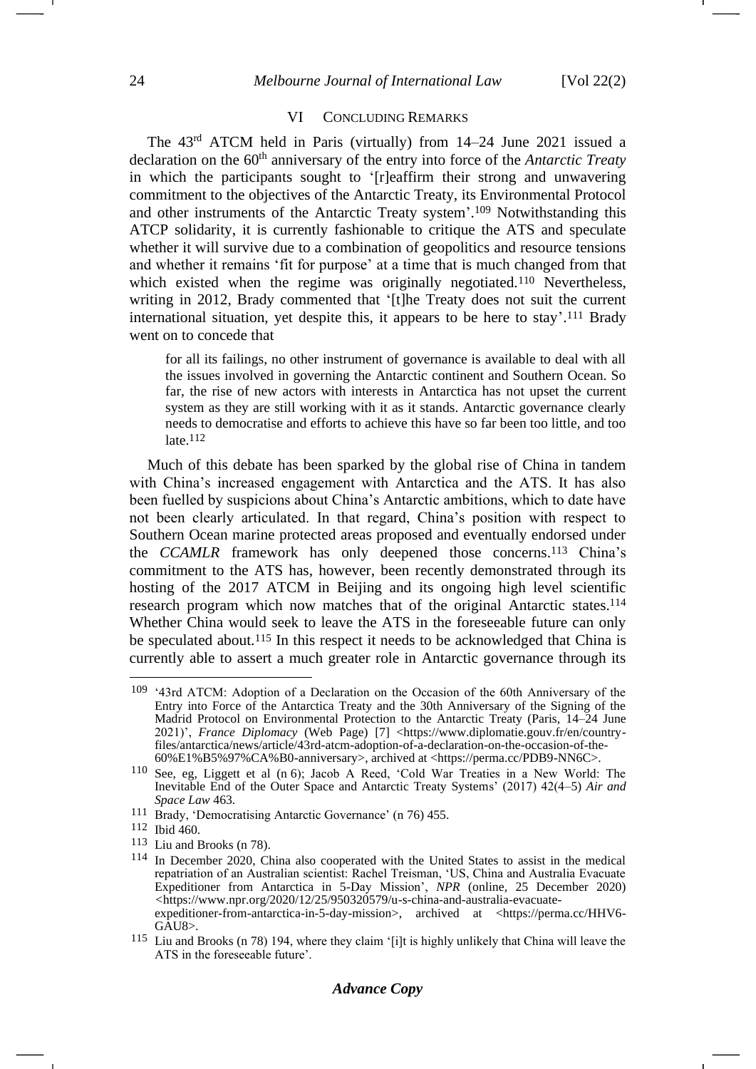-1

#### VI CONCLUDING REMARKS

The 43rd ATCM held in Paris (virtually) from 14–24 June 2021 issued a declaration on the 60<sup>th</sup> anniversary of the entry into force of the *Antarctic Treaty* in which the participants sought to '[r]eaffirm their strong and unwavering commitment to the objectives of the Antarctic Treaty, its Environmental Protocol and other instruments of the Antarctic Treaty system'. <sup>109</sup> Notwithstanding this ATCP solidarity, it is currently fashionable to critique the ATS and speculate whether it will survive due to a combination of geopolitics and resource tensions and whether it remains 'fit for purpose' at a time that is much changed from that which existed when the regime was originally negotiated.<sup>110</sup> Nevertheless, writing in 2012, Brady commented that '[t]he Treaty does not suit the current international situation, yet despite this, it appears to be here to stay'. <sup>111</sup> Brady went on to concede that

for all its failings, no other instrument of governance is available to deal with all the issues involved in governing the Antarctic continent and Southern Ocean. So far, the rise of new actors with interests in Antarctica has not upset the current system as they are still working with it as it stands. Antarctic governance clearly needs to democratise and efforts to achieve this have so far been too little, and too late.112

Much of this debate has been sparked by the global rise of China in tandem with China's increased engagement with Antarctica and the ATS. It has also been fuelled by suspicions about China's Antarctic ambitions, which to date have not been clearly articulated. In that regard, China's position with respect to Southern Ocean marine protected areas proposed and eventually endorsed under the *CCAMLR* framework has only deepened those concerns.<sup>113</sup> China's commitment to the ATS has, however, been recently demonstrated through its hosting of the 2017 ATCM in Beijing and its ongoing high level scientific research program which now matches that of the original Antarctic states.<sup>114</sup> Whether China would seek to leave the ATS in the foreseeable future can only be speculated about.<sup>115</sup> In this respect it needs to be acknowledged that China is currently able to assert a much greater role in Antarctic governance through its

<sup>109</sup> '43rd ATCM: Adoption of a Declaration on the Occasion of the 60th Anniversary of the Entry into Force of the Antarctica Treaty and the 30th Anniversary of the Signing of the Madrid Protocol on Environmental Protection to the Antarctic Treaty (Paris, 14–24 June 2021)', *France Diplomacy* (Web Page) [7] <https://www.diplomatie.gouv.fr/en/countryfiles/antarctica/news/article/43rd-atcm-adoption-of-a-declaration-on-the-occasion-of-the-60%E1%B5%97%CA%B0-anniversary>, archived at <https://perma.cc/PDB9-NN6C>.

<sup>110</sup> See, eg, Liggett et al (n [6\)](#page-1-1); Jacob A Reed, 'Cold War Treaties in a New World: The Inevitable End of the Outer Space and Antarctic Treaty Systems' (2017) 42(4–5) *Air and Space Law* 463.

<sup>111</sup> Brady, 'Democratising Antarctic Governance' (n [76\)](#page-16-2) 455.

<sup>112</sup> Ibid 460.

<sup>113</sup> Liu and Brooks (n [78\)](#page-16-0).

<sup>114</sup> In December 2020, China also cooperated with the United States to assist in the medical repatriation of an Australian scientist: Rachel Treisman, 'US, China and Australia Evacuate Expeditioner from Antarctica in 5-Day Mission', *NPR* (online, 25 December 2020) *<*https://www.npr.org/2020/12/25/950320579/u-s-china-and-australia-evacuateexpeditioner-from-antarctica-in-5-day-mission>, archived at <https://perma.cc/HHV6- GAU8>*.*

<sup>115</sup> Liu and Brooks (n [78\)](#page-16-0) 194, where they claim '[i]t is highly unlikely that China will leave the ATS in the foreseeable future'.